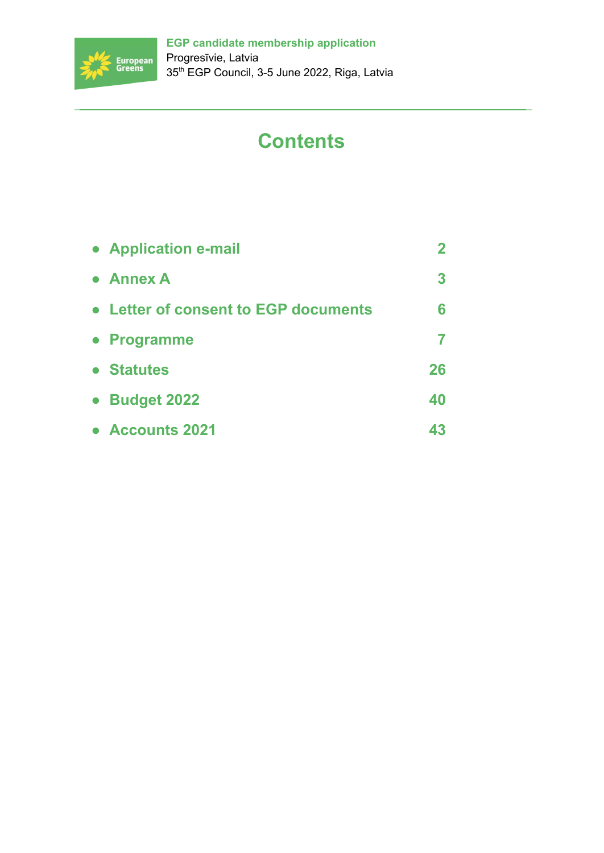

# **Contents**

| • Application e-mail                 |    |
|--------------------------------------|----|
| $\bullet$ Annex A                    | 3  |
| • Letter of consent to EGP documents | 6  |
| • Programme                          |    |
| • Statutes                           | 26 |
| • Budget 2022                        | 40 |
| • Accounts 2021                      | 43 |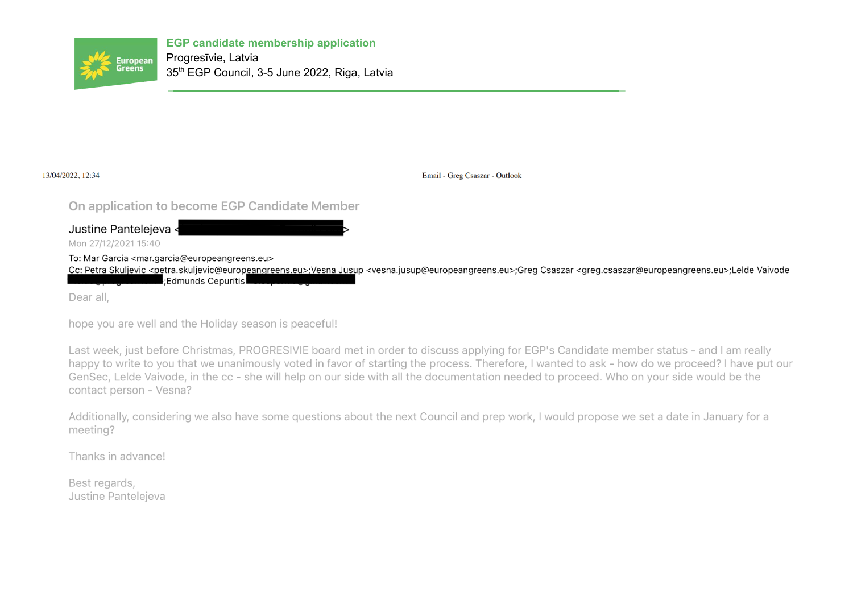

**EGP candidate membership application** Progresīvie, Latvia 35<sup>th</sup> EGP Council, 3-5 June 2022, Riga, Latvia

13/04/2022, 12:34

Email - Greg Csaszar - Outlook

#### On application to become EGP Candidate Member

Justine Pantelejeva < Mon 27/12/2021 15:40

To: Mar Garcia <mar.garcia@europeangreens.eu>

Cc: Petra Skuljevic <petra.skuljevic@europeangreens.eu>;Vesna Jusup <vesna.jusup@europeangreens.eu>;Greg Csaszar <greg.csaszar@europeangreens.eu>;Lelde Vaivode :Edmunds Cepuritis

Dear all.

hope you are well and the Holiday season is peaceful!

Last week, just before Christmas, PROGRESIVIE board met in order to discuss applying for EGP's Candidate member status - and I am really happy to write to you that we unanimously voted in favor of starting the process. Therefore, I wanted to ask - how do we proceed? I have put our GenSec, Lelde Vaivode, in the cc - she will help on our side with all the documentation needed to proceed. Who on your side would be the contact person - Vesna?

Additionally, considering we also have some questions about the next Council and prep work. I would propose we set a date in January for a meeting?

Thanks in advance!

Best regards, Justine Pantelejeva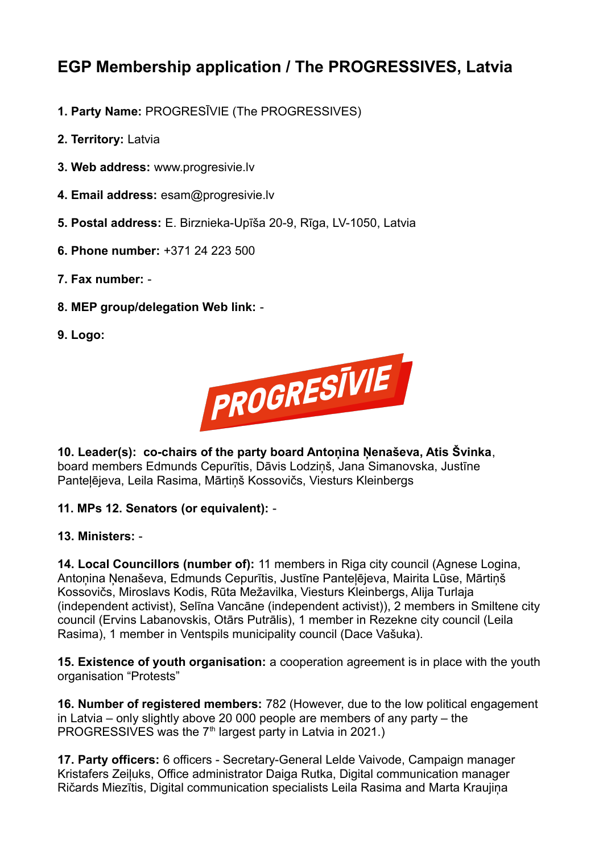# **EGP Membership application / The PROGRESSIVES, Latvia**

- **1. Party Name:** PROGRESĪVIE (The PROGRESSIVES)
- **2. Territory:** Latvia
- **3. Web address:** www.progresivie.lv
- **4. Email address:** esam@progresivie.lv
- **5. Postal address:** E. Birznieka-Upīša 20-9, Rīga, LV-1050, Latvia
- **6. Phone number:** +371 24 223 500
- **7. Fax number:** -
- **8. MEP group/delegation Web link:** -
- **9. Logo:**



**10. Leader(s): co-chairs of the party board Antoņina Ņenaševa, Atis Švinka**, board members Edmunds Cepurītis, Dāvis Lodziņš, Jana Simanovska, Justīne Panteļējeva, Leila Rasima, Mārtiņš Kossovičs, Viesturs Kleinbergs

## **11. MPs 12. Senators (or equivalent):** -

**13. Ministers:** -

**14. Local Councillors (number of):** 11 members in Riga city council (Agnese Logina, Antonina Nenaševa, Edmunds Cepurītis, Justīne Pantelējeva, Mairita Lūse, Mārtinš Kossovičs, Miroslavs Kodis, Rūta Mežavilka, Viesturs Kleinbergs, Alija Turlaja (independent activist), Selīna Vancāne (independent activist)), 2 members in Smiltene city council (Ervins Labanovskis, Otārs Putrālis), 1 member in Rezekne city council (Leila Rasima), 1 member in Ventspils municipality council (Dace Vašuka).

**15. Existence of youth organisation:** a cooperation agreement is in place with the youth organisation "Protests"

**16. Number of registered members:** 782 (However, due to the low political engagement in Latvia – only slightly above 20 000 people are members of any party – the PROGRESSIVES was the  $7<sup>th</sup>$  largest party in Latvia in 2021.)

**17. Party officers:** 6 officers - Secretary-General Lelde Vaivode, Campaign manager Kristafers Zeiļuks, Office administrator Daiga Rutka, Digital communication manager Ričards Miezītis, Digital communication specialists Leila Rasima and Marta Kraujiņa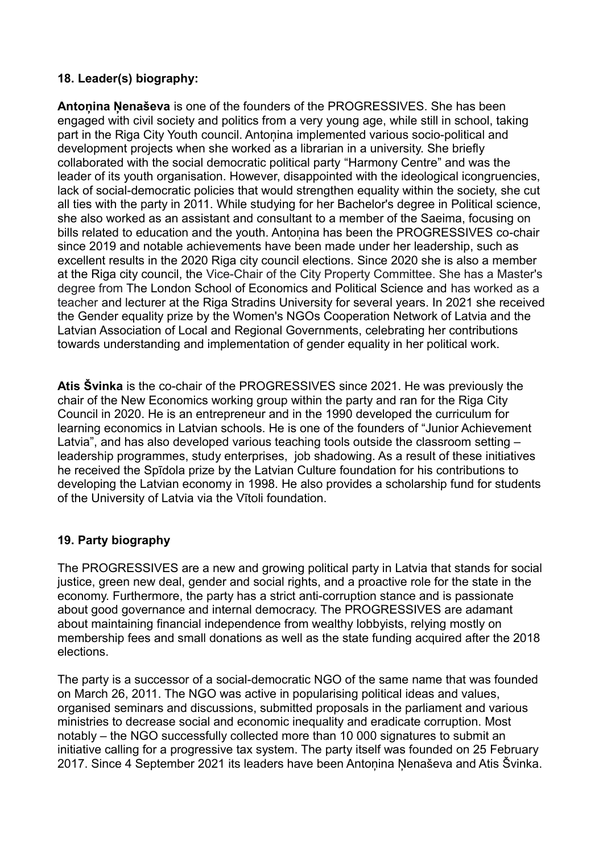#### **18. Leader(s) biography:**

**Antoņina Ņenaševa** is one of the founders of the PROGRESSIVES. She has been engaged with civil society and politics from a very young age, while still in school, taking part in the Riga City Youth council. Antonina implemented various socio-political and development projects when she worked as a librarian in a university. She briefly collaborated with the social democratic political party "Harmony Centre" and was the leader of its youth organisation. However, disappointed with the ideological icongruencies, lack of social-democratic policies that would strengthen equality within the society, she cut all ties with the party in 2011. While studying for her Bachelor's degree in Political science, she also worked as an assistant and consultant to a member of the Saeima, focusing on bills related to education and the youth. Antonina has been the PROGRESSIVES co-chair since 2019 and notable achievements have been made under her leadership, such as excellent results in the 2020 Riga city council elections. Since 2020 she is also a member at the Riga city council, the Vice-Chair of the City Property Committee. She has a Master's degree from The London School of Economics and Political Science and has worked as a teacher and lecturer at the Riga Stradins University for several years. In 2021 she received the Gender equality prize by the Women's NGOs Cooperation Network of Latvia and the Latvian Association of Local and Regional Governments, celebrating her contributions towards understanding and implementation of gender equality in her political work.

**Atis Švinka** is the co-chair of the PROGRESSIVES since 2021. He was previously the chair of the New Economics working group within the party and ran for the Riga City Council in 2020. He is an entrepreneur and in the 1990 developed the curriculum for learning economics in Latvian schools. He is one of the founders of "Junior Achievement Latvia", and has also developed various teaching tools outside the classroom setting – leadership programmes, study enterprises, job shadowing. As a result of these initiatives he received the Spīdola prize by the Latvian Culture foundation for his contributions to developing the Latvian economy in 1998. He also provides a scholarship fund for students of the University of Latvia via the Vītoli foundation.

#### **19. Party biography**

The PROGRESSIVES are a new and growing political party in Latvia that stands for social justice, green new deal, gender and social rights, and a proactive role for the state in the economy. Furthermore, the party has a strict anti-corruption stance and is passionate about good governance and internal democracy. The PROGRESSIVES are adamant about maintaining financial independence from wealthy lobbyists, relying mostly on membership fees and small donations as well as the state funding acquired after the 2018 elections.

The party is a successor of a social-democratic NGO of the same name that was founded on March 26, 2011. The NGO was active in popularising political ideas and values, organised seminars and discussions, submitted proposals in the parliament and various ministries to decrease social and economic inequality and eradicate corruption. Most notably – the NGO successfully collected more than 10 000 signatures to submit an initiative calling for a progressive tax system. The party itself was founded on 25 February 2017. Since 4 September 2021 its leaders have been Antoņina Ņenaševa and Atis Švinka.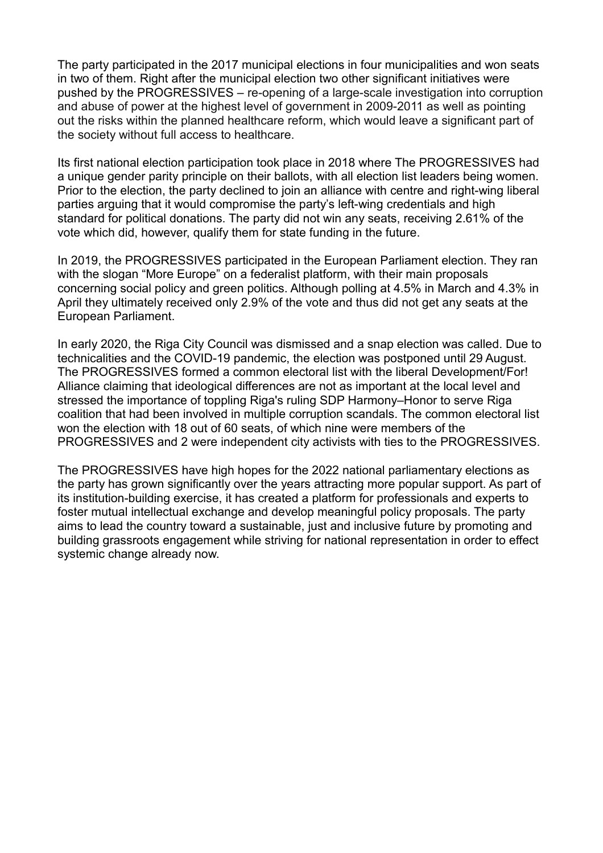The party participated in the 2017 municipal elections in four municipalities and won seats in two of them. Right after the municipal election two other significant initiatives were pushed by the PROGRESSIVES – re-opening of a large-scale investigation into corruption and abuse of power at the highest level of government in 2009-2011 as well as pointing out the risks within the planned healthcare reform, which would leave a significant part of the society without full access to healthcare.

Its first national election participation took place in 2018 where The PROGRESSIVES had a unique gender parity principle on their ballots, with all election list leaders being women. Prior to the election, the party declined to join an alliance with centre and right-wing liberal parties arguing that it would compromise the party's left-wing credentials and high standard for political donations. The party did not win any seats, receiving 2.61% of the vote which did, however, qualify them for state funding in the future.

In 2019, the PROGRESSIVES participated in the European Parliament election. They ran with the slogan "More Europe" on a federalist platform, with their main proposals concerning social policy and green politics. Although polling at 4.5% in March and 4.3% in April they ultimately received only 2.9% of the vote and thus did not get any seats at the European Parliament.

In early 2020, the Riga City Council was dismissed and a snap election was called. Due to technicalities and the COVID-19 pandemic, the election was postponed until 29 August. The PROGRESSIVES formed a common electoral list with the liberal Development/For! Alliance claiming that ideological differences are not as important at the local level and stressed the importance of toppling Riga's ruling SDP Harmony–Honor to serve Riga coalition that had been involved in multiple corruption scandals. The common electoral list won the election with 18 out of 60 seats, of which nine were members of the PROGRESSIVES and 2 were independent city activists with ties to the PROGRESSIVES.

The PROGRESSIVES have high hopes for the 2022 national parliamentary elections as the party has grown significantly over the years attracting more popular support. As part of its institution-building exercise, it has created a platform for professionals and experts to foster mutual intellectual exchange and develop meaningful policy proposals. The party aims to lead the country toward a sustainable, just and inclusive future by promoting and building grassroots engagement while striving for national representation in order to effect systemic change already now.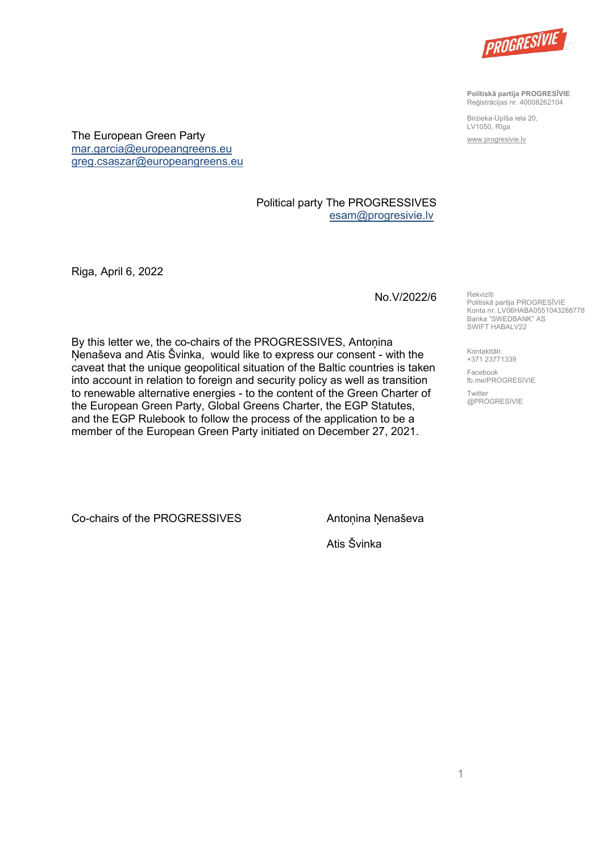

**Politiskā partija PROGRESĪVIE** Reģistrācijas nr. 40008262104

Birzieka-Upīša iela 20, LV1050, Rīga

www.progresivie.lv

The European Green Party mar.garcia@europeangreens.eu greg.csaszar@europeangreens.eu

#### Political party The PROGRESSIVES esam@progresivie.lv

Riga, April 6, 2022

No.V/2022/6

By this letter we, the co-chairs of the PROGRESSIVES, Antonina Ņenaševa and Atis Švinka, would like to express our consent - with the caveat that the unique geopolitical situation of the Baltic countries is taken into account in relation to foreign and security policy as well as transition to renewable alternative energies - to the content of the Green Charter of the European Green Party, Global Greens Charter, the EGP Statutes, and the EGP Rulebook to follow the process of the application to be a member of the European Green Party initiated on December 27, 2021.

Co-chairs of the PROGRESSIVES Antonina Nenaševa

Atis Švinka

Rekvizīti Politiskā partija PROGRESIVIE<br>Konta nr. LV06HABA0551043288778 Banka "SWEDBANK" AS SWIFT HABALV22

Kontakttālr. +371 23771339

 Facebook fb.me/PROGRESIVIE

 Twitter @PROGRESIVIE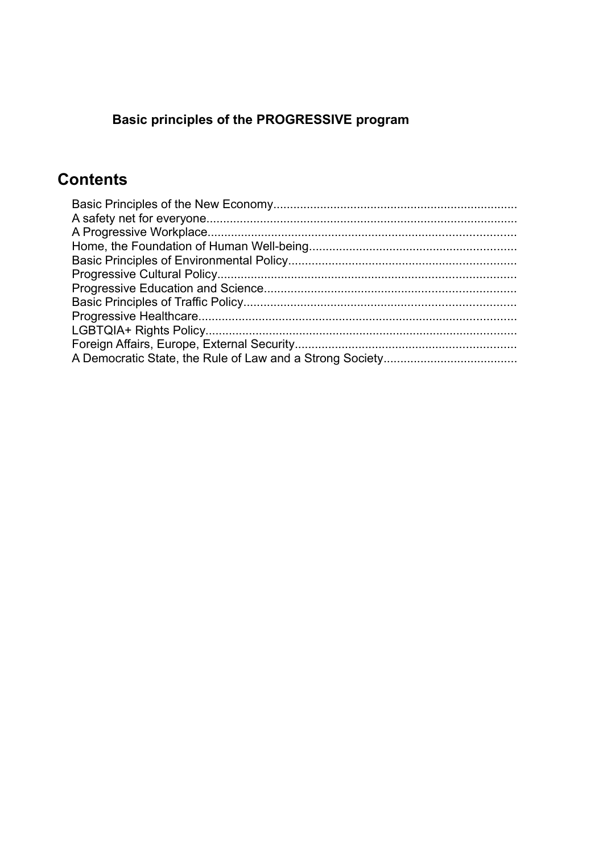# **Basic principles of the PROGRESSIVE program**

# **Contents**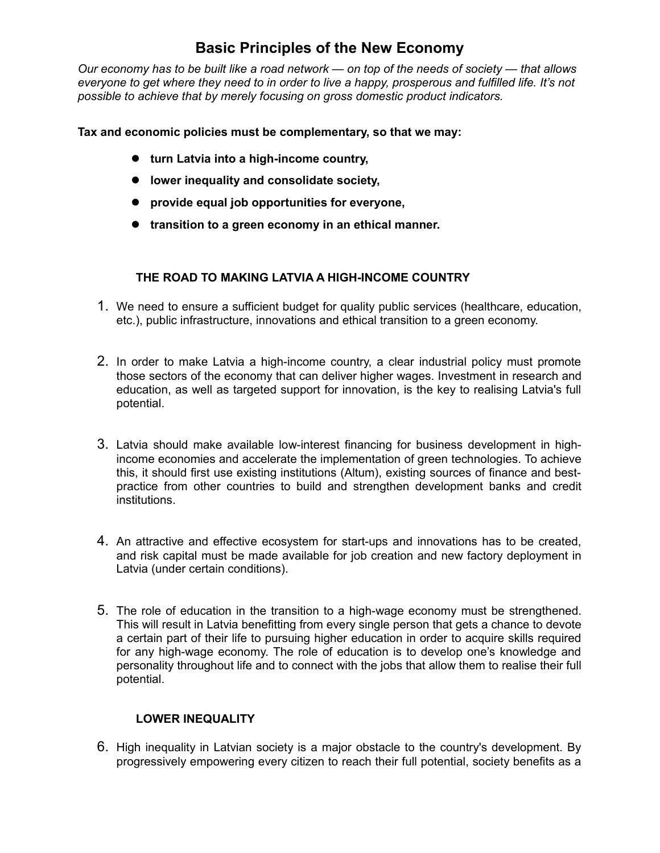# **Basic Principles of the New Economy**

*Our economy has to be built like a road network — on top of the needs of society — that allows everyone to get where they need to in order to live a happy, prosperous and fulfilled life. It's not possible to achieve that by merely focusing on gross domestic product indicators.* 

#### **Tax and economic policies must be complementary, so that we may:**

- turn Latvia into a high-income country,
- $\bullet$  lower inequality and consolidate society,
- $\bullet$  provide equal job opportunities for everyone,
- **transition to a green economy in an ethical manner.**

#### **THE ROAD TO MAKING LATVIA A HIGH-INCOME COUNTRY**

- 1. We need to ensure a sufficient budget for quality public services (healthcare, education, etc.), public infrastructure, innovations and ethical transition to a green economy.
- 2. In order to make Latvia a high-income country, a clear industrial policy must promote those sectors of the economy that can deliver higher wages. Investment in research and education, as well as targeted support for innovation, is the key to realising Latvia's full potential.
- 3. Latvia should make available low-interest financing for business development in highincome economies and accelerate the implementation of green technologies. To achieve this, it should first use existing institutions (Altum), existing sources of finance and bestpractice from other countries to build and strengthen development banks and credit institutions.
- 4. An attractive and effective ecosystem for start-ups and innovations has to be created, and risk capital must be made available for job creation and new factory deployment in Latvia (under certain conditions).
- 5. The role of education in the transition to a high-wage economy must be strengthened. This will result in Latvia benefitting from every single person that gets a chance to devote a certain part of their life to pursuing higher education in order to acquire skills required for any high-wage economy. The role of education is to develop one's knowledge and personality throughout life and to connect with the jobs that allow them to realise their full potential.

#### **LOWER INEQUALITY**

6. High inequality in Latvian society is a major obstacle to the country's development. By progressively empowering every citizen to reach their full potential, society benefits as a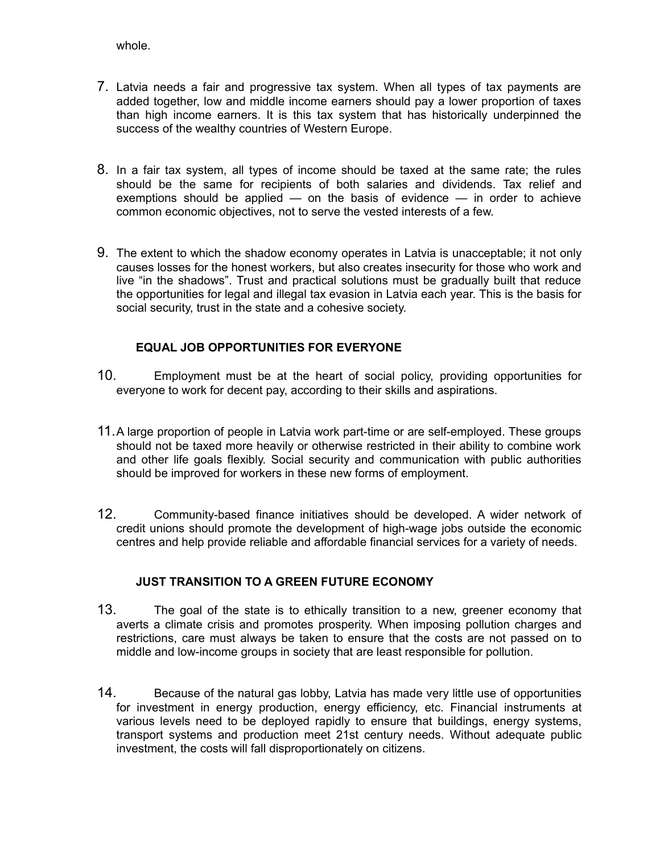whole.

- 7. Latvia needs a fair and progressive tax system. When all types of tax payments are added together, low and middle income earners should pay a lower proportion of taxes than high income earners. It is this tax system that has historically underpinned the success of the wealthy countries of Western Europe.
- 8. In a fair tax system, all types of income should be taxed at the same rate; the rules should be the same for recipients of both salaries and dividends. Tax relief and exemptions should be applied  $-$  on the basis of evidence  $-$  in order to achieve common economic objectives, not to serve the vested interests of a few.
- 9. The extent to which the shadow economy operates in Latvia is unacceptable; it not only causes losses for the honest workers, but also creates insecurity for those who work and live "in the shadows". Trust and practical solutions must be gradually built that reduce the opportunities for legal and illegal tax evasion in Latvia each year. This is the basis for social security, trust in the state and a cohesive society.

#### **EQUAL JOB OPPORTUNITIES FOR EVERYONE**

- 10. Employment must be at the heart of social policy, providing opportunities for everyone to work for decent pay, according to their skills and aspirations.
- 11.A large proportion of people in Latvia work part-time or are self-employed. These groups should not be taxed more heavily or otherwise restricted in their ability to combine work and other life goals flexibly. Social security and communication with public authorities should be improved for workers in these new forms of employment.
- 12. Community-based finance initiatives should be developed. A wider network of credit unions should promote the development of high-wage jobs outside the economic centres and help provide reliable and affordable financial services for a variety of needs.

#### **JUST TRANSITION TO A GREEN FUTURE ECONOMY**

- 13. The goal of the state is to ethically transition to a new, greener economy that averts a climate crisis and promotes prosperity. When imposing pollution charges and restrictions, care must always be taken to ensure that the costs are not passed on to middle and low-income groups in society that are least responsible for pollution.
- 14. Because of the natural gas lobby, Latvia has made very little use of opportunities for investment in energy production, energy efficiency, etc. Financial instruments at various levels need to be deployed rapidly to ensure that buildings, energy systems, transport systems and production meet 21st century needs. Without adequate public investment, the costs will fall disproportionately on citizens.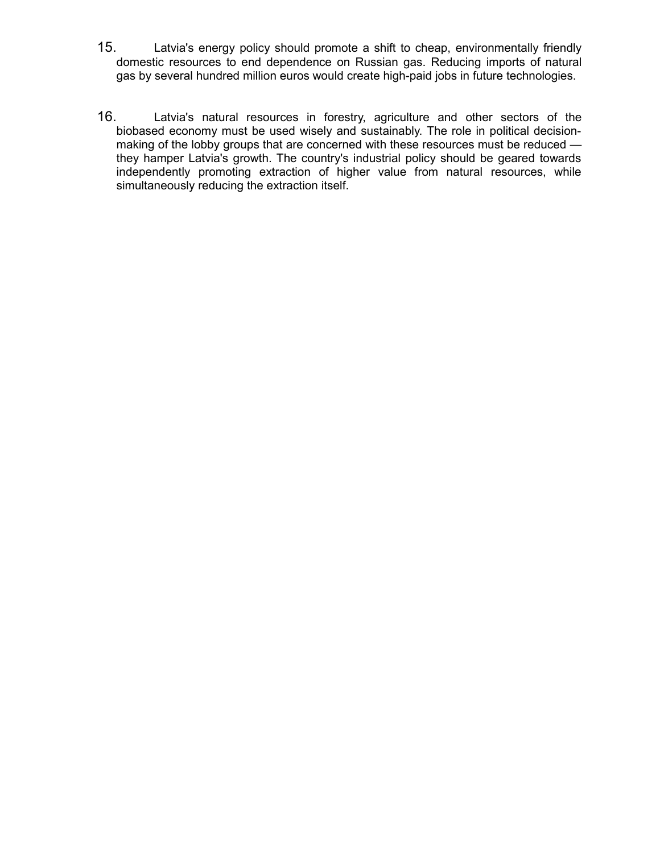- 15. Latvia's energy policy should promote a shift to cheap, environmentally friendly domestic resources to end dependence on Russian gas. Reducing imports of natural gas by several hundred million euros would create high-paid jobs in future technologies.
- 16. Latvia's natural resources in forestry, agriculture and other sectors of the biobased economy must be used wisely and sustainably. The role in political decisionmaking of the lobby groups that are concerned with these resources must be reduced they hamper Latvia's growth. The country's industrial policy should be geared towards independently promoting extraction of higher value from natural resources, while simultaneously reducing the extraction itself.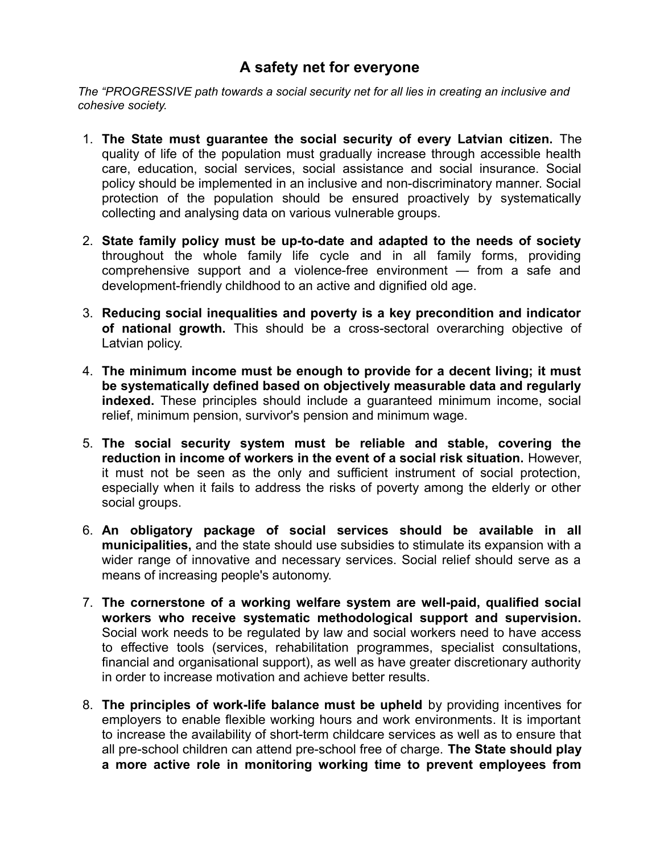# **A safety net for everyone**

*The "PROGRESSIVE path towards a social security net for all lies in creating an inclusive and cohesive society.*

- 1. **The State must guarantee the social security of every Latvian citizen.** The quality of life of the population must gradually increase through accessible health care, education, social services, social assistance and social insurance. Social policy should be implemented in an inclusive and non-discriminatory manner. Social protection of the population should be ensured proactively by systematically collecting and analysing data on various vulnerable groups.
- 2. **State family policy must be up-to-date and adapted to the needs of society** throughout the whole family life cycle and in all family forms, providing comprehensive support and a violence-free environment — from a safe and development-friendly childhood to an active and dignified old age.
- 3. **Reducing social inequalities and poverty is a key precondition and indicator of national growth.** This should be a cross-sectoral overarching objective of Latvian policy.
- 4. **The minimum income must be enough to provide for a decent living; it must be systematically defined based on objectively measurable data and regularly indexed.** These principles should include a guaranteed minimum income, social relief, minimum pension, survivor's pension and minimum wage.
- 5. **The social security system must be reliable and stable, covering the reduction in income of workers in the event of a social risk situation.** However, it must not be seen as the only and sufficient instrument of social protection, especially when it fails to address the risks of poverty among the elderly or other social groups.
- 6. **An obligatory package of social services should be available in all municipalities,** and the state should use subsidies to stimulate its expansion with a wider range of innovative and necessary services. Social relief should serve as a means of increasing people's autonomy.
- 7. **The cornerstone of a working welfare system are well-paid, qualified social workers who receive systematic methodological support and supervision.** Social work needs to be regulated by law and social workers need to have access to effective tools (services, rehabilitation programmes, specialist consultations, financial and organisational support), as well as have greater discretionary authority in order to increase motivation and achieve better results.
- 8. **The principles of work-life balance must be upheld** by providing incentives for employers to enable flexible working hours and work environments. It is important to increase the availability of short-term childcare services as well as to ensure that all pre-school children can attend pre-school free of charge. **The State should play a more active role in monitoring working time to prevent employees from**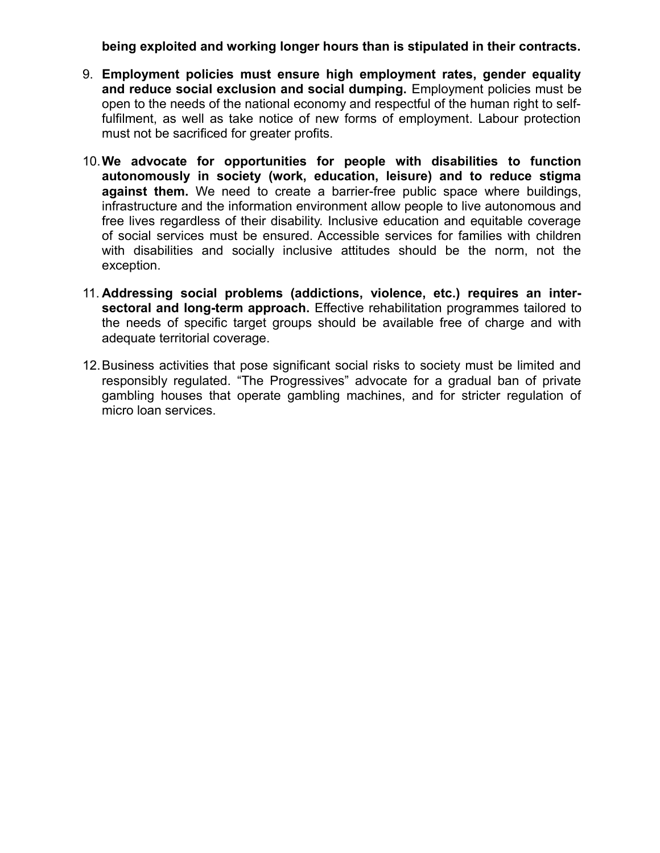#### **being exploited and working longer hours than is stipulated in their contracts.**

- 9. **Employment policies must ensure high employment rates, gender equality and reduce social exclusion and social dumping.** Employment policies must be open to the needs of the national economy and respectful of the human right to selffulfilment, as well as take notice of new forms of employment. Labour protection must not be sacrificed for greater profits.
- 10.**We advocate for opportunities for people with disabilities to function autonomously in society (work, education, leisure) and to reduce stigma against them.** We need to create a barrier-free public space where buildings, infrastructure and the information environment allow people to live autonomous and free lives regardless of their disability. Inclusive education and equitable coverage of social services must be ensured. Accessible services for families with children with disabilities and socially inclusive attitudes should be the norm, not the exception.
- 11. **Addressing social problems (addictions, violence, etc.) requires an intersectoral and long-term approach.** Effective rehabilitation programmes tailored to the needs of specific target groups should be available free of charge and with adequate territorial coverage.
- 12.Business activities that pose significant social risks to society must be limited and responsibly regulated. "The Progressives" advocate for a gradual ban of private gambling houses that operate gambling machines, and for stricter regulation of micro loan services.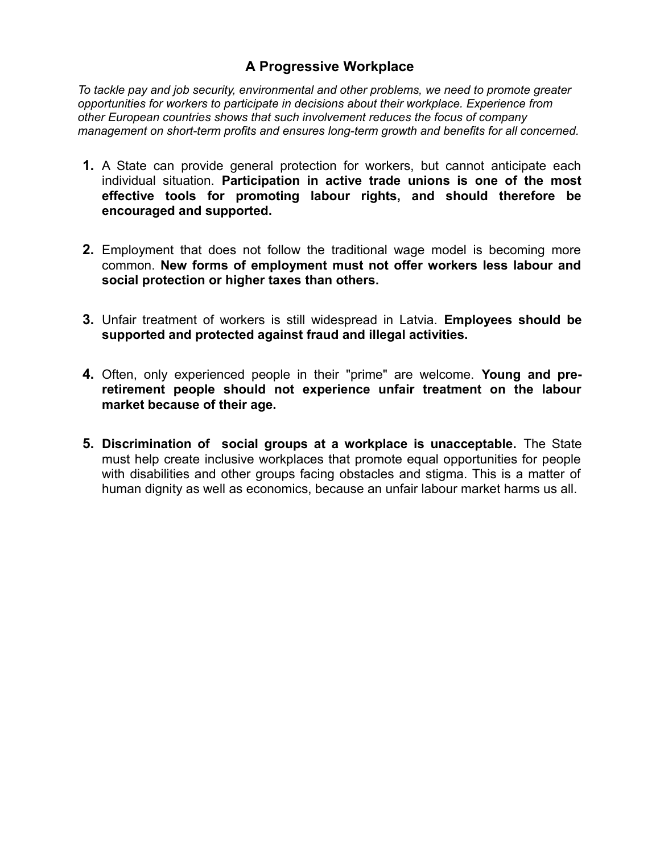## **A Progressive Workplace**

*To tackle pay and job security, environmental and other problems, we need to promote greater opportunities for workers to participate in decisions about their workplace. Experience from other European countries shows that such involvement reduces the focus of company management on short-term profits and ensures long-term growth and benefits for all concerned.*

- **1.** A State can provide general protection for workers, but cannot anticipate each individual situation. **Participation in active trade unions is one of the most effective tools for promoting labour rights, and should therefore be encouraged and supported.**
- **2.** Employment that does not follow the traditional wage model is becoming more common. **New forms of employment must not offer workers less labour and social protection or higher taxes than others.**
- **3.** Unfair treatment of workers is still widespread in Latvia. **Employees should be supported and protected against fraud and illegal activities.**
- **4.** Often, only experienced people in their "prime" are welcome. **Young and preretirement people should not experience unfair treatment on the labour market because of their age.**
- **5. Discrimination of social groups at a workplace is unacceptable.** The State must help create inclusive workplaces that promote equal opportunities for people with disabilities and other groups facing obstacles and stigma. This is a matter of human dignity as well as economics, because an unfair labour market harms us all.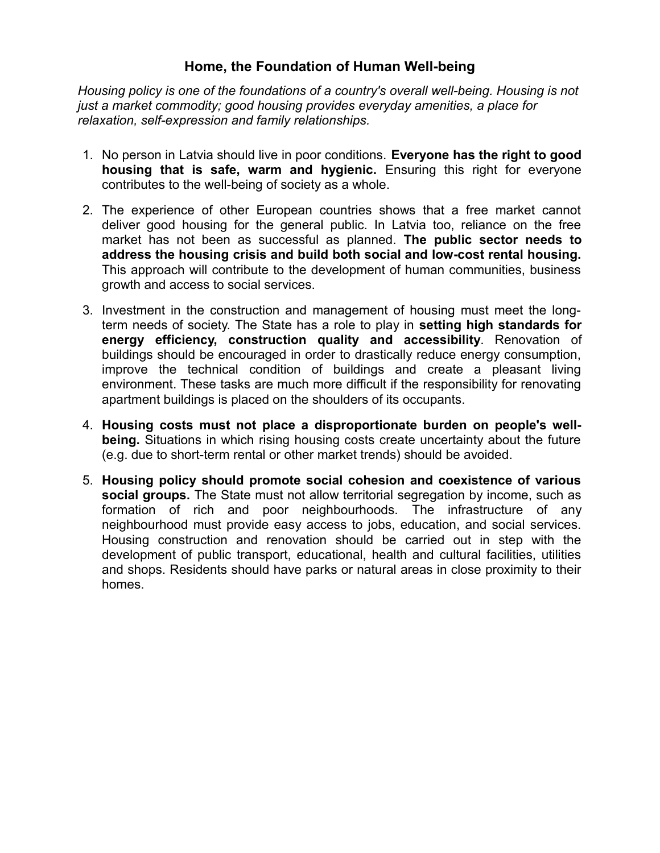#### **Home, the Foundation of Human Well-being**

*Housing policy is one of the foundations of a country's overall well-being. Housing is not just a market commodity; good housing provides everyday amenities, a place for relaxation, self-expression and family relationships.* 

- 1. No person in Latvia should live in poor conditions. **Everyone has the right to good housing that is safe, warm and hygienic.** Ensuring this right for everyone contributes to the well-being of society as a whole.
- 2. The experience of other European countries shows that a free market cannot deliver good housing for the general public. In Latvia too, reliance on the free market has not been as successful as planned. **The public sector needs to address the housing crisis and build both social and low-cost rental housing.** This approach will contribute to the development of human communities, business growth and access to social services.
- 3. Investment in the construction and management of housing must meet the longterm needs of society. The State has a role to play in **setting high standards for energy efficiency, construction quality and accessibility**. Renovation of buildings should be encouraged in order to drastically reduce energy consumption, improve the technical condition of buildings and create a pleasant living environment. These tasks are much more difficult if the responsibility for renovating apartment buildings is placed on the shoulders of its occupants.
- 4. **Housing costs must not place a disproportionate burden on people's wellbeing.** Situations in which rising housing costs create uncertainty about the future (e.g. due to short-term rental or other market trends) should be avoided.
- 5. **Housing policy should promote social cohesion and coexistence of various social groups.** The State must not allow territorial segregation by income, such as formation of rich and poor neighbourhoods. The infrastructure of any neighbourhood must provide easy access to jobs, education, and social services. Housing construction and renovation should be carried out in step with the development of public transport, educational, health and cultural facilities, utilities and shops. Residents should have parks or natural areas in close proximity to their homes.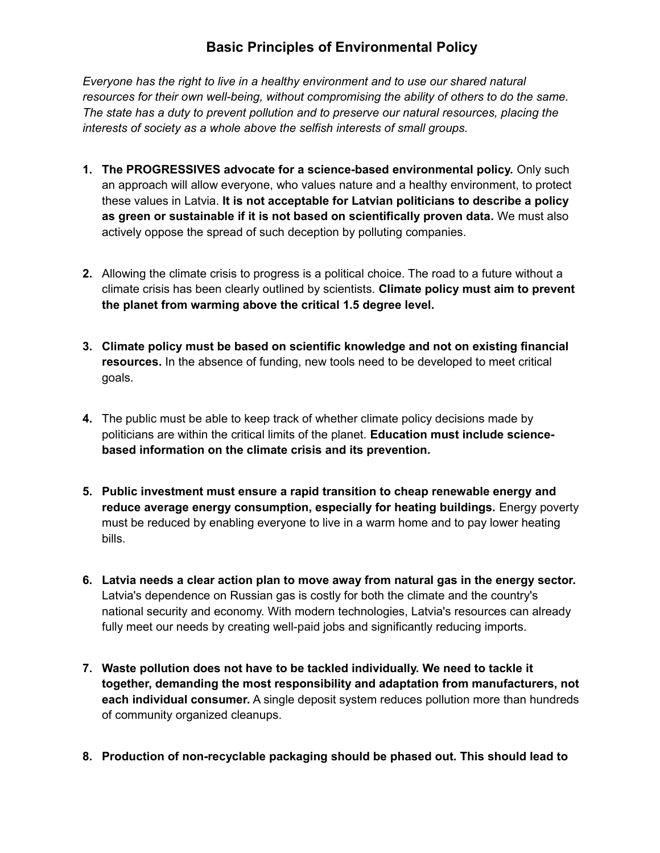## **Basic Principles of Environmental Policy**

*Everyone has the right to live in a healthy environment and to use our shared natural resources for their own well-being, without compromising the ability of others to do the same. The state has a duty to prevent pollution and to preserve our natural resources, placing the interests of society as a whole above the selfish interests of small groups.*

- **1. The PROGRESSIVES advocate for a science-based environmental policy.** Only such an approach will allow everyone, who values nature and a healthy environment, to protect these values in Latvia. **It is not acceptable for Latvian politicians to describe a policy as green or sustainable if it is not based on scientifically proven data.** We must also actively oppose the spread of such deception by polluting companies.
- **2.** Allowing the climate crisis to progress is a political choice. The road to a future without a climate crisis has been clearly outlined by scientists. **Climate policy must aim to prevent the planet from warming above the critical 1.5 degree level.**
- **3. Climate policy must be based on scientific knowledge and not on existing financial resources.** In the absence of funding, new tools need to be developed to meet critical goals.
- **4.** The public must be able to keep track of whether climate policy decisions made by politicians are within the critical limits of the planet. **Education must include sciencebased information on the climate crisis and its prevention.**
- **5. Public investment must ensure a rapid transition to cheap renewable energy and reduce average energy consumption, especially for heating buildings.** Energy poverty must be reduced by enabling everyone to live in a warm home and to pay lower heating bills.
- **6. Latvia needs a clear action plan to move away from natural gas in the energy sector.** Latvia's dependence on Russian gas is costly for both the climate and the country's national security and economy. With modern technologies, Latvia's resources can already fully meet our needs by creating well-paid jobs and significantly reducing imports.
- **7. Waste pollution does not have to be tackled individually. We need to tackle it together, demanding the most responsibility and adaptation from manufacturers, not each individual consumer.** A single deposit system reduces pollution more than hundreds of community organized cleanups.
- **8. Production of non-recyclable packaging should be phased out. This should lead to**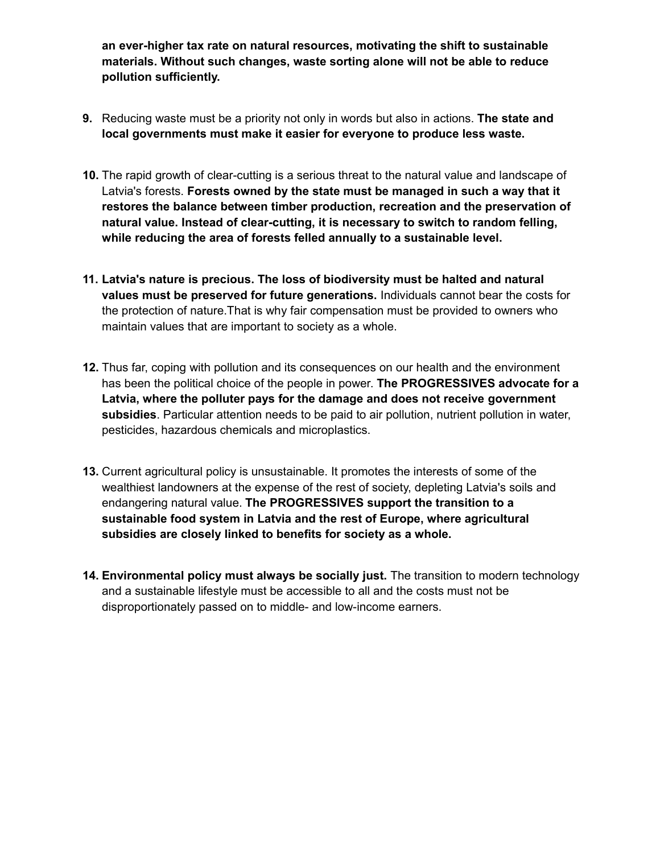**an ever-higher tax rate on natural resources, motivating the shift to sustainable materials. Without such changes, waste sorting alone will not be able to reduce pollution sufficiently.**

- **9.** Reducing waste must be a priority not only in words but also in actions. **The state and local governments must make it easier for everyone to produce less waste.**
- **10.** The rapid growth of clear-cutting is a serious threat to the natural value and landscape of Latvia's forests. **Forests owned by the state must be managed in such a way that it restores the balance between timber production, recreation and the preservation of natural value. Instead of clear-cutting, it is necessary to switch to random felling, while reducing the area of forests felled annually to a sustainable level.**
- **11. Latvia's nature is precious. The loss of biodiversity must be halted and natural values must be preserved for future generations.** Individuals cannot bear the costs for the protection of nature.That is why fair compensation must be provided to owners who maintain values that are important to society as a whole.
- **12.** Thus far, coping with pollution and its consequences on our health and the environment has been the political choice of the people in power. **The PROGRESSIVES advocate for a Latvia, where the polluter pays for the damage and does not receive government subsidies**. Particular attention needs to be paid to air pollution, nutrient pollution in water, pesticides, hazardous chemicals and microplastics.
- **13.** Current agricultural policy is unsustainable. It promotes the interests of some of the wealthiest landowners at the expense of the rest of society, depleting Latvia's soils and endangering natural value. **The PROGRESSIVES support the transition to a sustainable food system in Latvia and the rest of Europe, where agricultural subsidies are closely linked to benefits for society as a whole.**
- **14. Environmental policy must always be socially just.** The transition to modern technology and a sustainable lifestyle must be accessible to all and the costs must not be disproportionately passed on to middle- and low-income earners.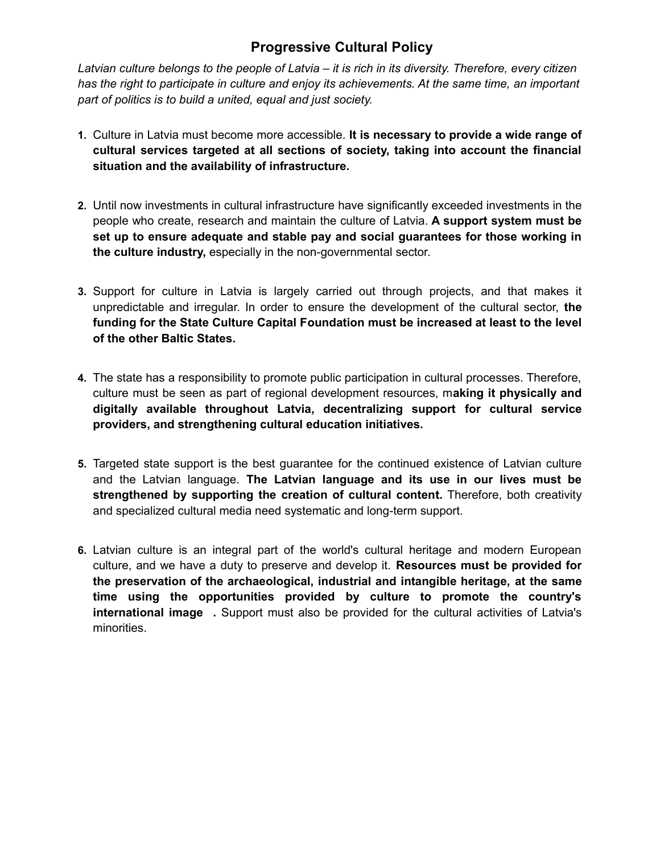## **Progressive Cultural Policy**

*Latvian culture belongs to the people of Latvia – it is rich in its diversity. Therefore, every citizen has the right to participate in culture and enjoy its achievements. At the same time, an important part of politics is to build a united, equal and just society.*

- **1.** Culture in Latvia must become more accessible. **It is necessary to provide a wide range of cultural services targeted at all sections of society, taking into account the financial situation and the availability of infrastructure.**
- **2.** Until now investments in cultural infrastructure have significantly exceeded investments in the people who create, research and maintain the culture of Latvia. **A support system must be set up to ensure adequate and stable pay and social guarantees for those working in the culture industry,** especially in the non-governmental sector.
- **3.** Support for culture in Latvia is largely carried out through projects, and that makes it unpredictable and irregular. In order to ensure the development of the cultural sector, **the funding for the State Culture Capital Foundation must be increased at least to the level of the other Baltic States.**
- **4.** The state has a responsibility to promote public participation in cultural processes. Therefore, culture must be seen as part of regional development resources, m**aking it physically and digitally available throughout Latvia, decentralizing support for cultural service providers, and strengthening cultural education initiatives.**
- **5.** Targeted state support is the best guarantee for the continued existence of Latvian culture and the Latvian language. **The Latvian language and its use in our lives must be strengthened by supporting the creation of cultural content.** Therefore, both creativity and specialized cultural media need systematic and long-term support.
- **6.** Latvian culture is an integral part of the world's cultural heritage and modern European culture, and we have a duty to preserve and develop it. **Resources must be provided for the preservation of the archaeological, industrial and intangible heritage, at the same time using the opportunities provided by culture to promote the country's international image .** Support must also be provided for the cultural activities of Latvia's minorities.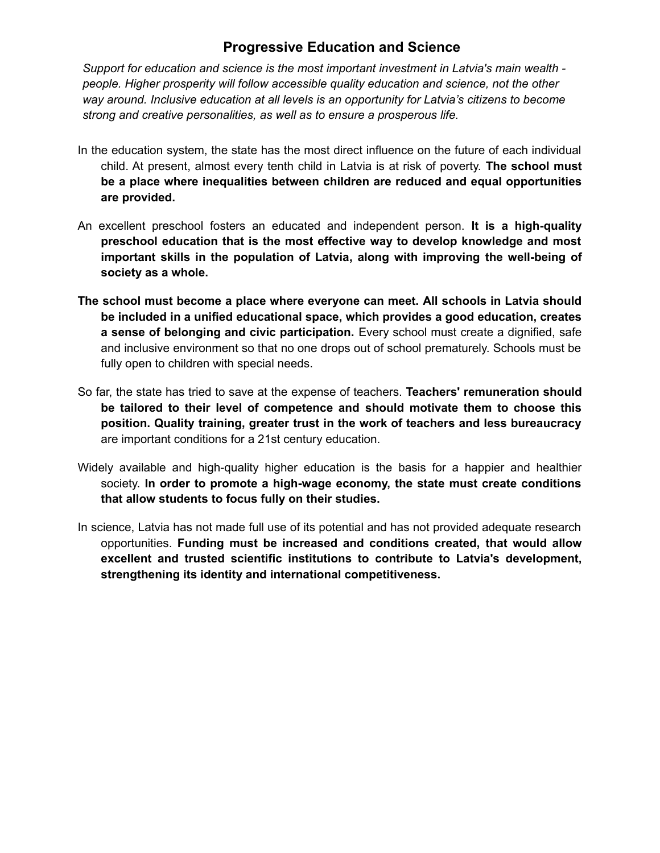#### **Progressive Education and Science**

*Support for education and science is the most important investment in Latvia's main wealth people. Higher prosperity will follow accessible quality education and science, not the other way around. Inclusive education at all levels is an opportunity for Latvia's citizens to become strong and creative personalities, as well as to ensure a prosperous life.*

- In the education system, the state has the most direct influence on the future of each individual child. At present, almost every tenth child in Latvia is at risk of poverty. **The school must be a place where inequalities between children are reduced and equal opportunities are provided.**
- An excellent preschool fosters an educated and independent person. **It is a high-quality preschool education that is the most effective way to develop knowledge and most important skills in the population of Latvia, along with improving the well-being of society as a whole.**
- **The school must become a place where everyone can meet. All schools in Latvia should be included in a unified educational space, which provides a good education, creates a sense of belonging and civic participation.** Every school must create a dignified, safe and inclusive environment so that no one drops out of school prematurely. Schools must be fully open to children with special needs.
- So far, the state has tried to save at the expense of teachers. **Teachers' remuneration should be tailored to their level of competence and should motivate them to choose this position. Quality training, greater trust in the work of teachers and less bureaucracy** are important conditions for a 21st century education.
- Widely available and high-quality higher education is the basis for a happier and healthier society. **In order to promote a high-wage economy, the state must create conditions that allow students to focus fully on their studies.**
- In science, Latvia has not made full use of its potential and has not provided adequate research opportunities. **Funding must be increased and conditions created, that would allow excellent and trusted scientific institutions to contribute to Latvia's development, strengthening its identity and international competitiveness.**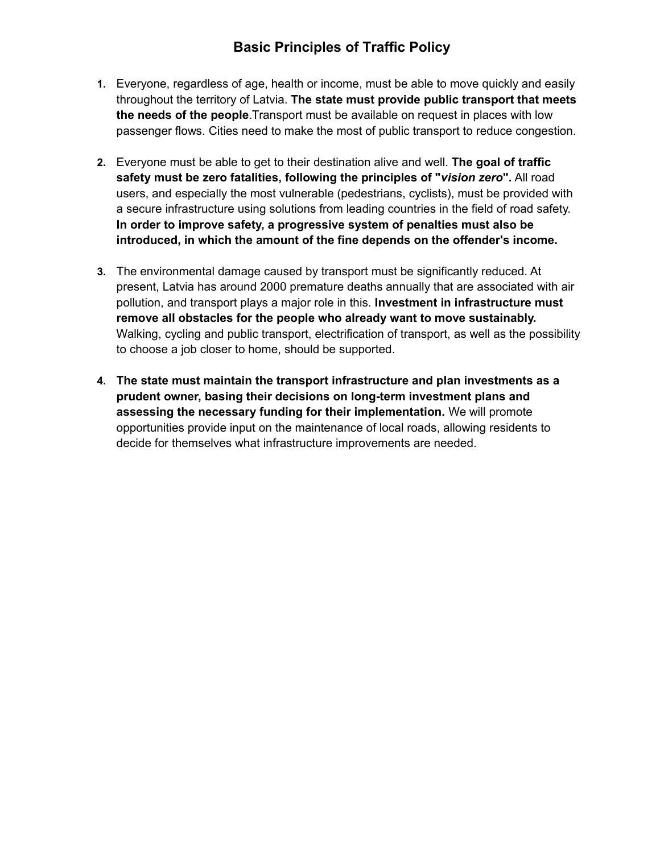## **Basic Principles of Traffic Policy**

- **1.** Everyone, regardless of age, health or income, must be able to move quickly and easily throughout the territory of Latvia. **The state must provide public transport that meets the needs of the people**.Transport must be available on request in places with low passenger flows. Cities need to make the most of public transport to reduce congestion.
- **2.** Everyone must be able to get to their destination alive and well. **The goal of traffic safety must be zero fatalities, following the principles of "***vision zero***".** All road users, and especially the most vulnerable (pedestrians, cyclists), must be provided with a secure infrastructure using solutions from leading countries in the field of road safety. **In order to improve safety, a progressive system of penalties must also be introduced, in which the amount of the fine depends on the offender's income.**
- **3.** The environmental damage caused by transport must be significantly reduced. At present, Latvia has around 2000 premature deaths annually that are associated with air pollution, and transport plays a major role in this. **Investment in infrastructure must remove all obstacles for the people who already want to move sustainably.**  Walking, cycling and public transport, electrification of transport, as well as the possibility to choose a job closer to home, should be supported.
- **4. The state must maintain the transport infrastructure and plan investments as a prudent owner, basing their decisions on long-term investment plans and assessing the necessary funding for their implementation.** We will promote opportunities provide input on the maintenance of local roads, allowing residents to decide for themselves what infrastructure improvements are needed.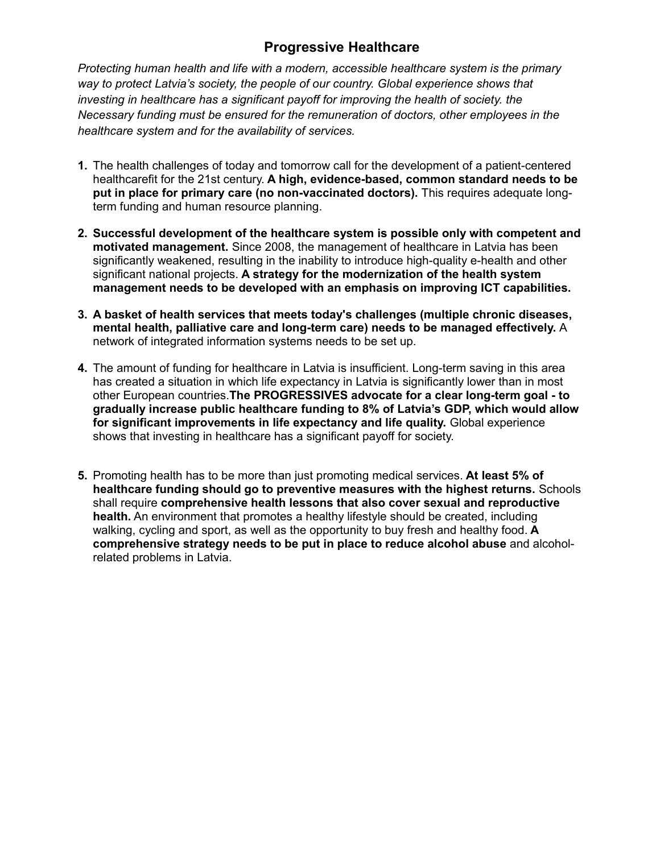## **Progressive Healthcare**

*Protecting human health and life with a modern, accessible healthcare system is the primary way to protect Latvia's society, the people of our country. Global experience shows that investing in healthcare has a significant payoff for improving the health of society, the Necessary funding must be ensured for the remuneration of doctors, other employees in the healthcare system and for the availability of services.*

- **1.** The health challenges of today and tomorrow call for the development of a patient-centered healthcarefit for the 21st century. **A high, evidence-based, common standard needs to be put in place for primary care (no non-vaccinated doctors).** This requires adequate longterm funding and human resource planning.
- **2. Successful development of the healthcare system is possible only with competent and motivated management.** Since 2008, the management of healthcare in Latvia has been significantly weakened, resulting in the inability to introduce high-quality e-health and other significant national projects. **A strategy for the modernization of the health system management needs to be developed with an emphasis on improving ICT capabilities.**
- **3. A basket of health services that meets today's challenges (multiple chronic diseases, mental health, palliative care and long-term care) needs to be managed effectively.** A network of integrated information systems needs to be set up.
- **4.** The amount of funding for healthcare in Latvia is insufficient. Long-term saving in this area has created a situation in which life expectancy in Latvia is significantly lower than in most other European countries.**The PROGRESSIVES advocate for a clear long-term goal - to gradually increase public healthcare funding to 8% of Latvia's GDP, which would allow for significant improvements in life expectancy and life quality.** Global experience shows that investing in healthcare has a significant payoff for society.
- **5.** Promoting health has to be more than just promoting medical services. **At least 5% of healthcare funding should go to preventive measures with the highest returns.** Schools shall require **comprehensive health lessons that also cover sexual and reproductive health.** An environment that promotes a healthy lifestyle should be created, including walking, cycling and sport, as well as the opportunity to buy fresh and healthy food. **A comprehensive strategy needs to be put in place to reduce alcohol abuse** and alcoholrelated problems in Latvia.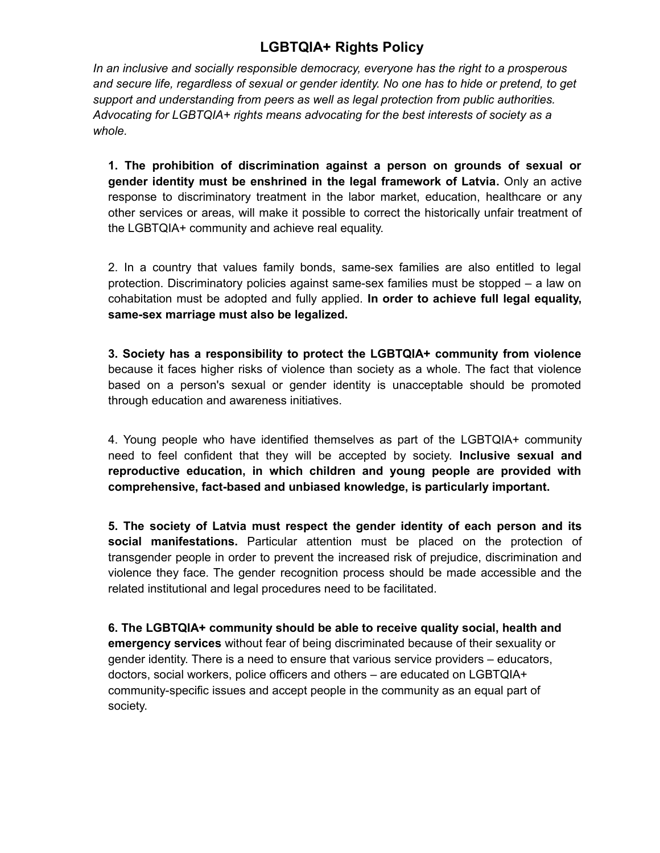### **LGBTQIA+ Rights Policy**

*In an inclusive and socially responsible democracy, everyone has the right to a prosperous and secure life, regardless of sexual or gender identity. No one has to hide or pretend, to get support and understanding from peers as well as legal protection from public authorities. Advocating for LGBTQIA+ rights means advocating for the best interests of society as a whole.*

**1. The prohibition of discrimination against a person on grounds of sexual or gender identity must be enshrined in the legal framework of Latvia.** Only an active response to discriminatory treatment in the labor market, education, healthcare or any other services or areas, will make it possible to correct the historically unfair treatment of the LGBTQIA+ community and achieve real equality.

2. In a country that values family bonds, same-sex families are also entitled to legal protection. Discriminatory policies against same-sex families must be stopped – a law on cohabitation must be adopted and fully applied. **In order to achieve full legal equality, same-sex marriage must also be legalized.**

**3. Society has a responsibility to protect the LGBTQIA+ community from violence** because it faces higher risks of violence than society as a whole. The fact that violence based on a person's sexual or gender identity is unacceptable should be promoted through education and awareness initiatives.

4. Young people who have identified themselves as part of the LGBTQIA+ community need to feel confident that they will be accepted by society. **Inclusive sexual and reproductive education, in which children and young people are provided with comprehensive, fact-based and unbiased knowledge, is particularly important.**

**5. The society of Latvia must respect the gender identity of each person and its social manifestations.** Particular attention must be placed on the protection of transgender people in order to prevent the increased risk of prejudice, discrimination and violence they face. The gender recognition process should be made accessible and the related institutional and legal procedures need to be facilitated.

**6. The LGBTQIA+ community should be able to receive quality social, health and emergency services** without fear of being discriminated because of their sexuality or gender identity. There is a need to ensure that various service providers – educators, doctors, social workers, police officers and others – are educated on LGBTQIA+ community-specific issues and accept people in the community as an equal part of society.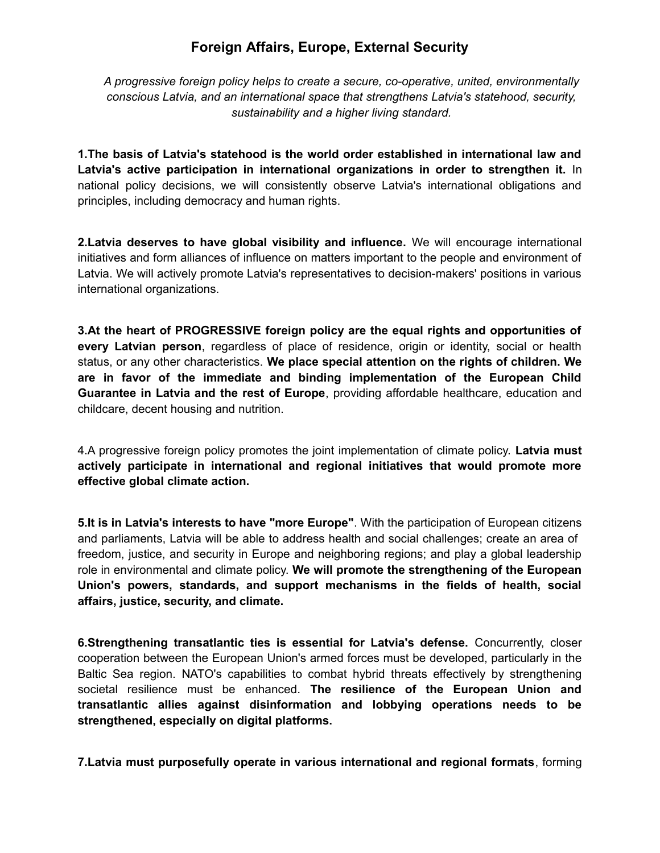## **Foreign Affairs, Europe, External Security**

*A progressive foreign policy helps to create a secure, co-operative, united, environmentally conscious Latvia, and an international space that strengthens Latvia's statehood, security, sustainability and a higher living standard.*

**1.The basis of Latvia's statehood is the world order established in international law and Latvia's active participation in international organizations in order to strengthen it.** In national policy decisions, we will consistently observe Latvia's international obligations and principles, including democracy and human rights.

**2.Latvia deserves to have global visibility and influence.** We will encourage international initiatives and form alliances of influence on matters important to the people and environment of Latvia. We will actively promote Latvia's representatives to decision-makers' positions in various international organizations.

**3.At the heart of PROGRESSIVE foreign policy are the equal rights and opportunities of every Latvian person**, regardless of place of residence, origin or identity, social or health status, or any other characteristics. **We place special attention on the rights of children. We are in favor of the immediate and binding implementation of the European Child Guarantee in Latvia and the rest of Europe**, providing affordable healthcare, education and childcare, decent housing and nutrition.

4.A progressive foreign policy promotes the joint implementation of climate policy. **Latvia must actively participate in international and regional initiatives that would promote more effective global climate action.**

**5.It is in Latvia's interests to have "more Europe"**. With the participation of European citizens and parliaments, Latvia will be able to address health and social challenges; create an area of freedom, justice, and security in Europe and neighboring regions; and play a global leadership role in environmental and climate policy. **We will promote the strengthening of the European Union's powers, standards, and support mechanisms in the fields of health, social affairs, justice, security, and climate.**

**6.Strengthening transatlantic ties is essential for Latvia's defense.** Concurrently, closer cooperation between the European Union's armed forces must be developed, particularly in the Baltic Sea region. NATO's capabilities to combat hybrid threats effectively by strengthening societal resilience must be enhanced. **The resilience of the European Union and transatlantic allies against disinformation and lobbying operations needs to be strengthened, especially on digital platforms.**

**7.Latvia must purposefully operate in various international and regional formats**, forming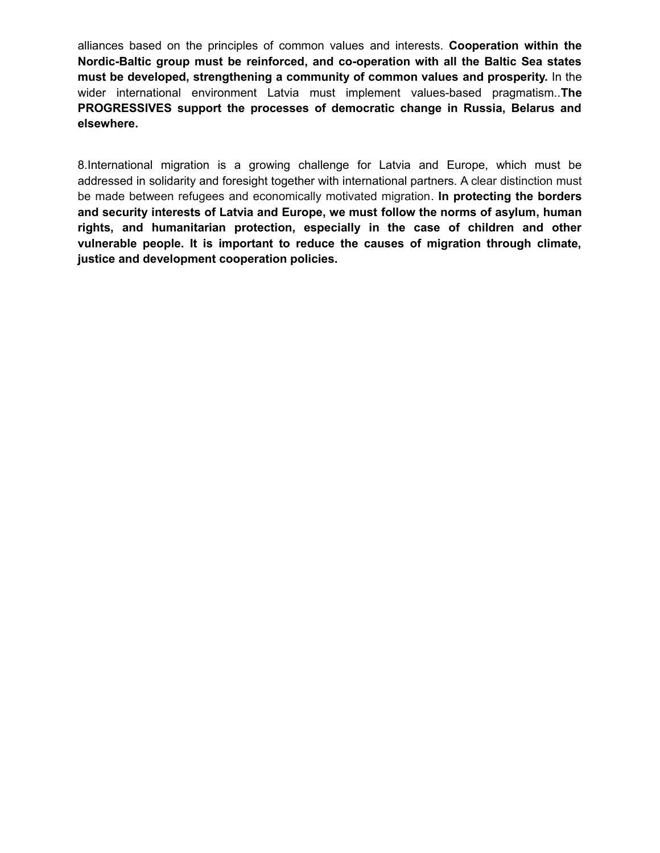alliances based on the principles of common values and interests. **Cooperation within the Nordic-Baltic group must be reinforced, and co-operation with all the Baltic Sea states must be developed, strengthening a community of common values and prosperity.** In the wider international environment Latvia must implement values-based pragmatism..**The PROGRESSIVES support the processes of democratic change in Russia, Belarus and elsewhere.**

8.International migration is a growing challenge for Latvia and Europe, which must be addressed in solidarity and foresight together with international partners. A clear distinction must be made between refugees and economically motivated migration. **In protecting the borders and security interests of Latvia and Europe, we must follow the norms of asylum, human rights, and humanitarian protection, especially in the case of children and other vulnerable people. It is important to reduce the causes of migration through climate, justice and development cooperation policies.**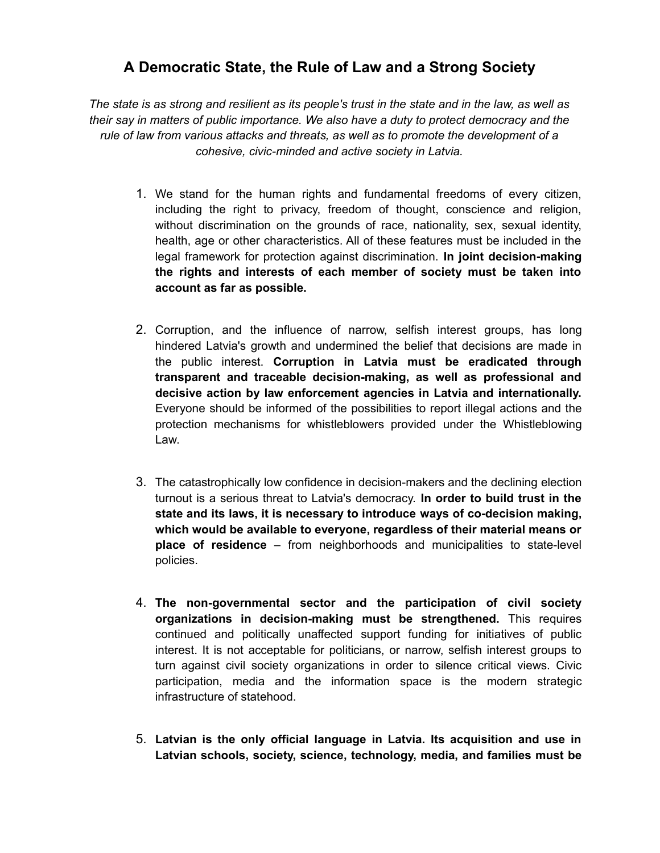# **A Democratic State, the Rule of Law and a Strong Society**

*The state is as strong and resilient as its people's trust in the state and in the law, as well as their say in matters of public importance. We also have a duty to protect democracy and the rule of law from various attacks and threats, as well as to promote the development of a cohesive, civic-minded and active society in Latvia.*

- 1. We stand for the human rights and fundamental freedoms of every citizen, including the right to privacy, freedom of thought, conscience and religion, without discrimination on the grounds of race, nationality, sex, sexual identity, health, age or other characteristics. All of these features must be included in the legal framework for protection against discrimination. **In joint decision-making the rights and interests of each member of society must be taken into account as far as possible.**
- 2. Corruption, and the influence of narrow, selfish interest groups, has long hindered Latvia's growth and undermined the belief that decisions are made in the public interest. **Corruption in Latvia must be eradicated through transparent and traceable decision-making, as well as professional and decisive action by law enforcement agencies in Latvia and internationally.** Everyone should be informed of the possibilities to report illegal actions and the protection mechanisms for whistleblowers provided under the Whistleblowing Law.
- 3. The catastrophically low confidence in decision-makers and the declining election turnout is a serious threat to Latvia's democracy. **In order to build trust in the state and its laws, it is necessary to introduce ways of co-decision making, which would be available to everyone, regardless of their material means or place of residence** – from neighborhoods and municipalities to state-level policies.
- 4. **The non-governmental sector and the participation of civil society organizations in decision-making must be strengthened.** This requires continued and politically unaffected support funding for initiatives of public interest. It is not acceptable for politicians, or narrow, selfish interest groups to turn against civil society organizations in order to silence critical views. Civic participation, media and the information space is the modern strategic infrastructure of statehood.
- 5. **Latvian is the only official language in Latvia. Its acquisition and use in Latvian schools, society, science, technology, media, and families must be**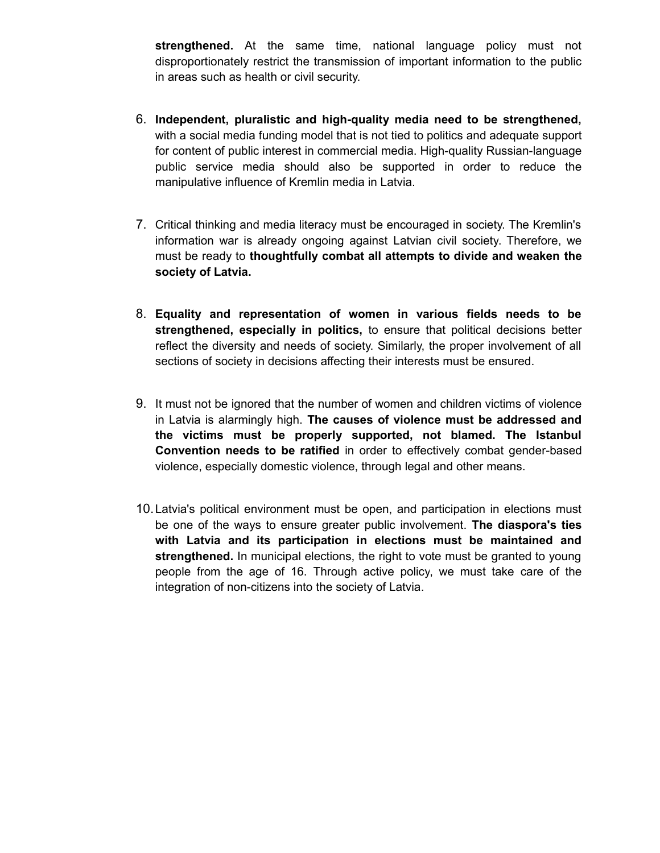**strengthened.** At the same time, national language policy must not disproportionately restrict the transmission of important information to the public in areas such as health or civil security.

- 6. **Independent, pluralistic and high-quality media need to be strengthened,** with a social media funding model that is not tied to politics and adequate support for content of public interest in commercial media. High-quality Russian-language public service media should also be supported in order to reduce the manipulative influence of Kremlin media in Latvia.
- 7. Critical thinking and media literacy must be encouraged in society. The Kremlin's information war is already ongoing against Latvian civil society. Therefore, we must be ready to **thoughtfully combat all attempts to divide and weaken the society of Latvia.**
- 8. **Equality and representation of women in various fields needs to be strengthened, especially in politics,** to ensure that political decisions better reflect the diversity and needs of society. Similarly, the proper involvement of all sections of society in decisions affecting their interests must be ensured.
- 9. It must not be ignored that the number of women and children victims of violence in Latvia is alarmingly high. **The causes of violence must be addressed and the victims must be properly supported, not blamed. The Istanbul Convention needs to be ratified** in order to effectively combat gender-based violence, especially domestic violence, through legal and other means.
- 10.Latvia's political environment must be open, and participation in elections must be one of the ways to ensure greater public involvement. **The diaspora's ties with Latvia and its participation in elections must be maintained and strengthened.** In municipal elections, the right to vote must be granted to young people from the age of 16. Through active policy, we must take care of the integration of non-citizens into the society of Latvia.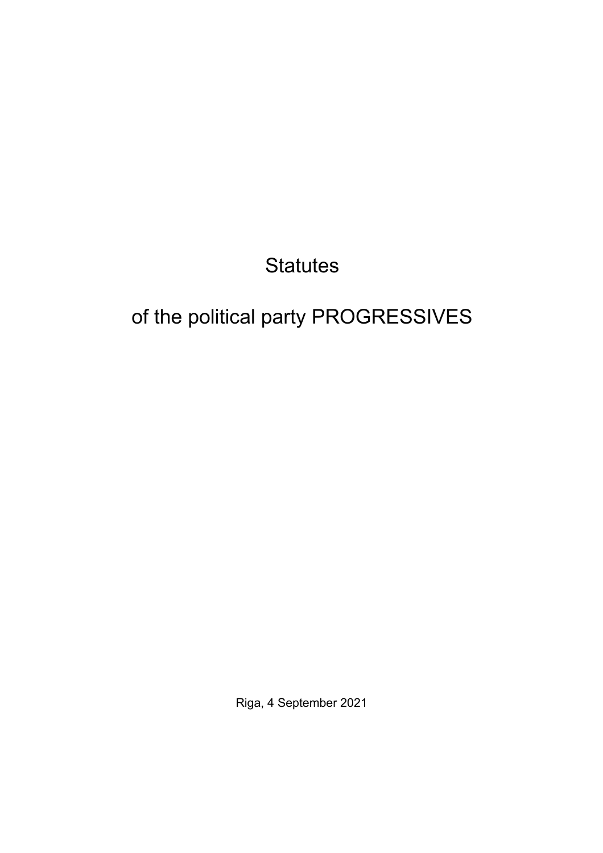**Statutes** 

# of the political party PROGRESSIVES

Riga, 4 September 2021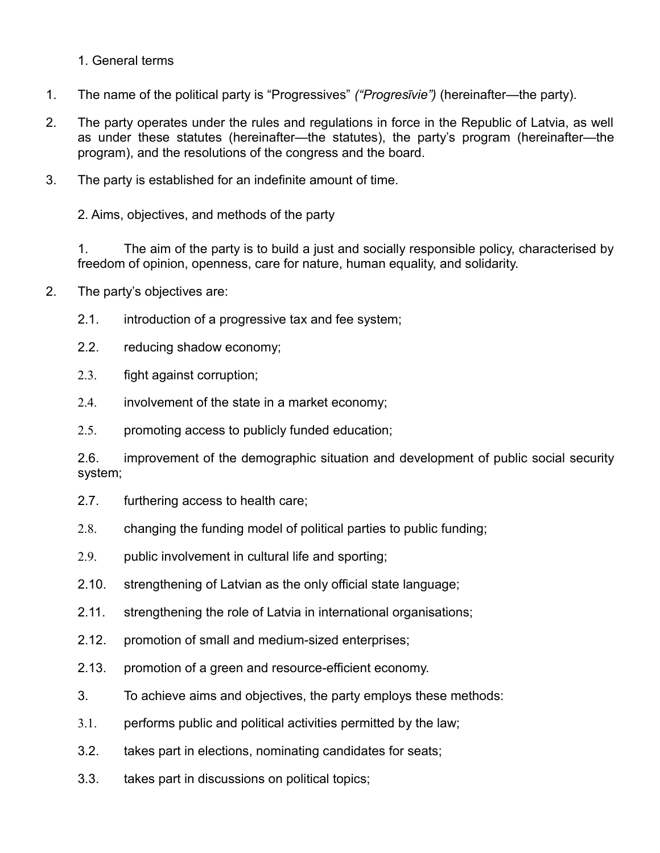- 1. General terms
- 1. The name of the political party is "Progressives" *("Progresīvie")* (hereinafter—the party).
- 2. The party operates under the rules and regulations in force in the Republic of Latvia, as well as under these statutes (hereinafter—the statutes), the party's program (hereinafter—the program), and the resolutions of the congress and the board.
- 3. The party is established for an indefinite amount of time.

2. Aims, objectives, and methods of the party

1. The aim of the party is to build a just and socially responsible policy, characterised by freedom of opinion, openness, care for nature, human equality, and solidarity.

- 2. The party's objectives are:
	- 2.1. introduction of a progressive tax and fee system;
	- 2.2. reducing shadow economy;
	- 2.3. fight against corruption;
	- 2.4. involvement of the state in a market economy;
	- 2.5. promoting access to publicly funded education;

2.6. improvement of the demographic situation and development of public social security system;

- 2.7. furthering access to health care;
- 2.8. changing the funding model of political parties to public funding;
- 2.9. public involvement in cultural life and sporting;
- 2.10. strengthening of Latvian as the only official state language;
- 2.11. strengthening the role of Latvia in international organisations;
- 2.12. promotion of small and medium-sized enterprises;
- 2.13. promotion of a green and resource-efficient economy.
- 3. To achieve aims and objectives, the party employs these methods:
- 3.1. performs public and political activities permitted by the law;
- 3.2. takes part in elections, nominating candidates for seats;
- 3.3. takes part in discussions on political topics;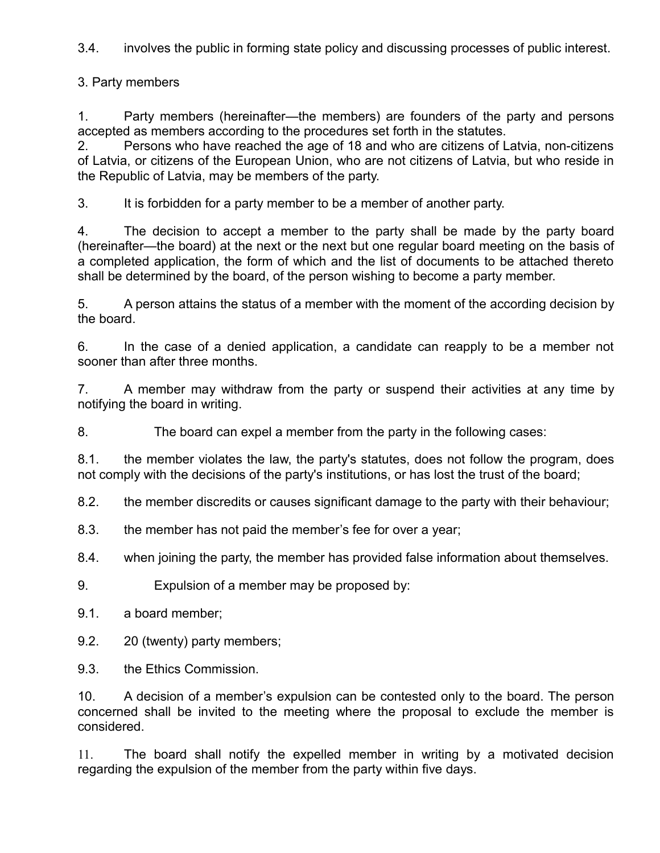3.4. involves the public in forming state policy and discussing processes of public interest.

3. Party members

1. Party members (hereinafter—the members) are founders of the party and persons accepted as members according to the procedures set forth in the statutes.

2. Persons who have reached the age of 18 and who are citizens of Latvia, non-citizens of Latvia, or citizens of the European Union, who are not citizens of Latvia, but who reside in the Republic of Latvia, may be members of the party.

3. It is forbidden for a party member to be a member of another party.

4. The decision to accept a member to the party shall be made by the party board (hereinafter—the board) at the next or the next but one regular board meeting on the basis of a completed application, the form of which and the list of documents to be attached thereto shall be determined by the board, of the person wishing to become a party member.

5. A person attains the status of a member with the moment of the according decision by the board.

6. In the case of a denied application, a candidate can reapply to be a member not sooner than after three months.

7. A member may withdraw from the party or suspend their activities at any time by notifying the board in writing.

8. The board can expel a member from the party in the following cases:

8.1. the member violates the law, the party's statutes, does not follow the program, does not comply with the decisions of the party's institutions, or has lost the trust of the board;

8.2. the member discredits or causes significant damage to the party with their behaviour;

- 8.3. the member has not paid the member's fee for over a year;
- 8.4. when joining the party, the member has provided false information about themselves.
- 9. Expulsion of a member may be proposed by:
- 9.1. a board member;
- 9.2. 20 (twenty) party members;
- 9.3. the Ethics Commission.

10. A decision of a member's expulsion can be contested only to the board. The person concerned shall be invited to the meeting where the proposal to exclude the member is considered.

11. The board shall notify the expelled member in writing by a motivated decision regarding the expulsion of the member from the party within five days.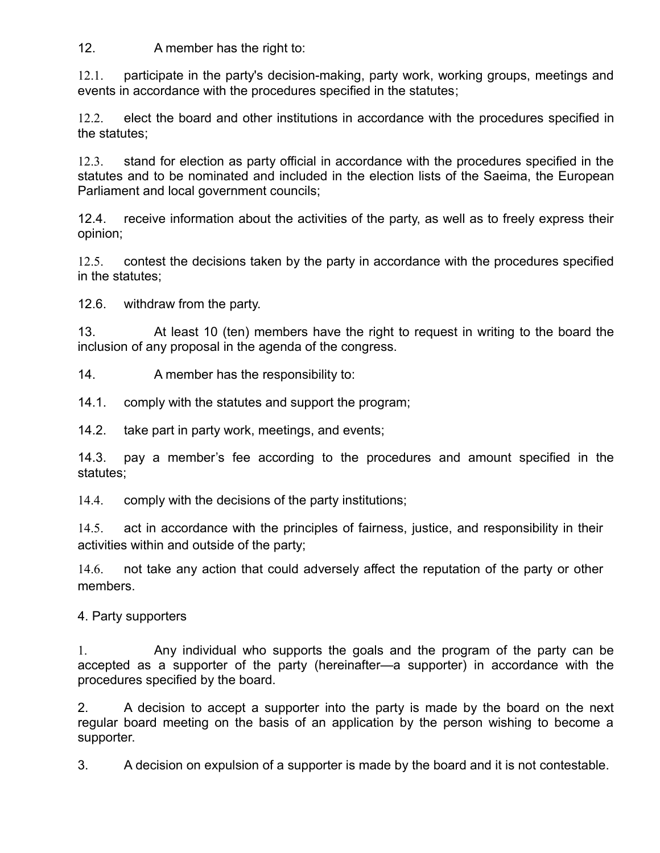12. A member has the right to:

12.1. participate in the party's decision-making, party work, working groups, meetings and events in accordance with the procedures specified in the statutes;

12.2. elect the board and other institutions in accordance with the procedures specified in the statutes;

12.3. stand for election as party official in accordance with the procedures specified in the statutes and to be nominated and included in the election lists of the Saeima, the European Parliament and local government councils;

12.4. receive information about the activities of the party, as well as to freely express their opinion;

12.5. contest the decisions taken by the party in accordance with the procedures specified in the statutes;

12.6. withdraw from the party.

13. At least 10 (ten) members have the right to request in writing to the board the inclusion of any proposal in the agenda of the congress.

14. A member has the responsibility to:

14.1. comply with the statutes and support the program;

14.2. take part in party work, meetings, and events;

14.3. pay a member's fee according to the procedures and amount specified in the statutes;

14.4. comply with the decisions of the party institutions;

14.5. act in accordance with the principles of fairness, justice, and responsibility in their activities within and outside of the party;

14.6. not take any action that could adversely affect the reputation of the party or other members.

4. Party supporters

1. Any individual who supports the goals and the program of the party can be accepted as a supporter of the party (hereinafter—a supporter) in accordance with the procedures specified by the board.

2. A decision to accept a supporter into the party is made by the board on the next regular board meeting on the basis of an application by the person wishing to become a supporter.

3. A decision on expulsion of a supporter is made by the board and it is not contestable.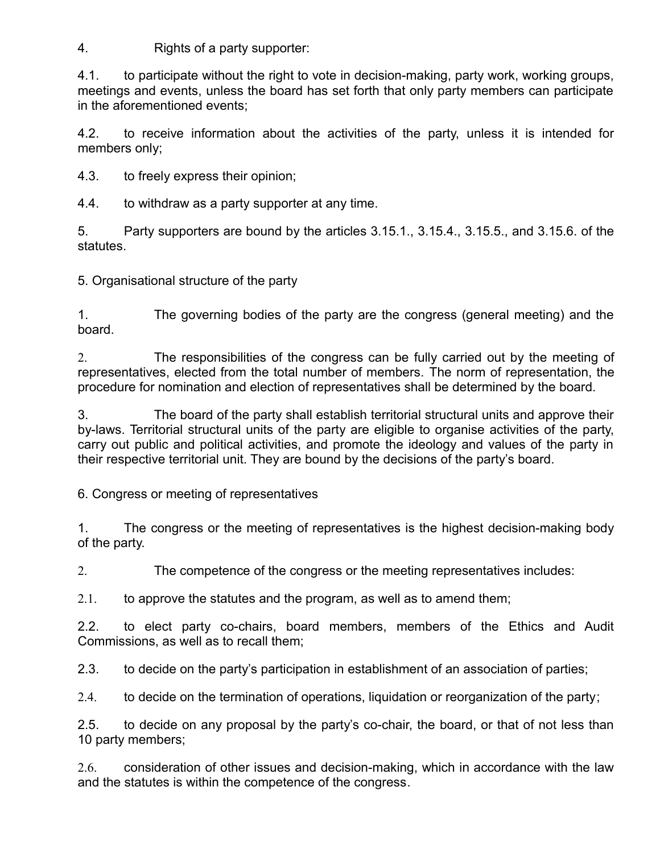4. Rights of a party supporter:

4.1. to participate without the right to vote in decision-making, party work, working groups, meetings and events, unless the board has set forth that only party members can participate in the aforementioned events;

4.2. to receive information about the activities of the party, unless it is intended for members only;

4.3. to freely express their opinion;

4.4. to withdraw as a party supporter at any time.

5. Party supporters are bound by the articles 3.15.1., 3.15.4., 3.15.5., and 3.15.6. of the statutes.

5. Organisational structure of the party

1. The governing bodies of the party are the congress (general meeting) and the board.

2. The responsibilities of the congress can be fully carried out by the meeting of representatives, elected from the total number of members. The norm of representation, the procedure for nomination and election of representatives shall be determined by the board.

3. The board of the party shall establish territorial structural units and approve their by-laws. Territorial structural units of the party are eligible to organise activities of the party, carry out public and political activities, and promote the ideology and values of the party in their respective territorial unit. They are bound by the decisions of the party's board.

6. Congress or meeting of representatives

1. The congress or the meeting of representatives is the highest decision-making body of the party.

2. The competence of the congress or the meeting representatives includes:

2.1. to approve the statutes and the program, as well as to amend them;

2.2. to elect party co-chairs, board members, members of the Ethics and Audit Commissions, as well as to recall them;

2.3. to decide on the party's participation in establishment of an association of parties;

2.4. to decide on the termination of operations, liquidation or reorganization of the party;

2.5. to decide on any proposal by the party's co-chair, the board, or that of not less than 10 party members;

2.6. consideration of other issues and decision-making, which in accordance with the law and the statutes is within the competence of the congress.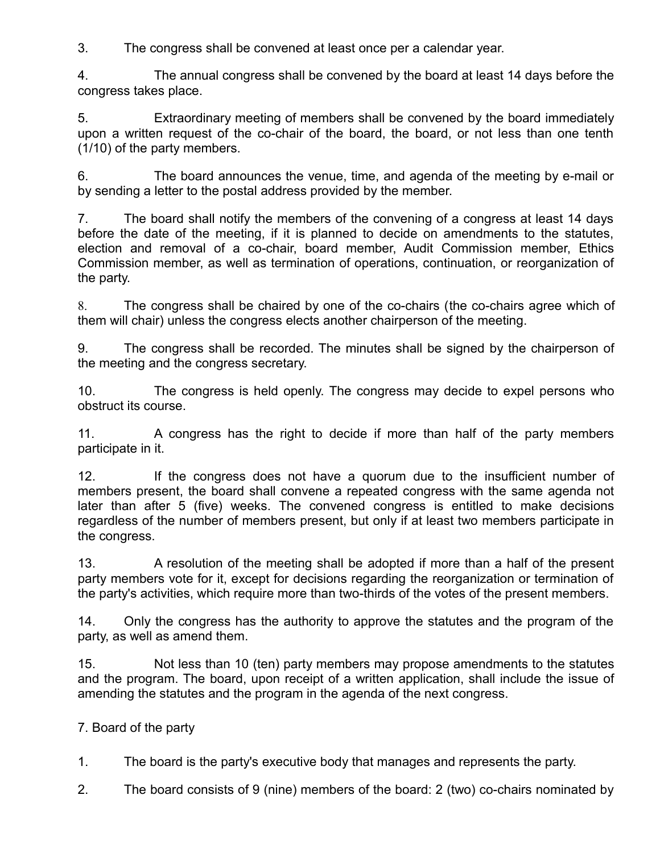3. The congress shall be convened at least once per a calendar year.

4. The annual congress shall be convened by the board at least 14 days before the congress takes place.

5. Extraordinary meeting of members shall be convened by the board immediately upon a written request of the co-chair of the board, the board, or not less than one tenth (1/10) of the party members.

6. The board announces the venue, time, and agenda of the meeting by e-mail or by sending a letter to the postal address provided by the member.

7. The board shall notify the members of the convening of a congress at least 14 days before the date of the meeting, if it is planned to decide on amendments to the statutes, election and removal of a co-chair, board member, Audit Commission member, Ethics Commission member, as well as termination of operations, continuation, or reorganization of the party.

8. The congress shall be chaired by one of the co-chairs (the co-chairs agree which of them will chair) unless the congress elects another chairperson of the meeting.

9. The congress shall be recorded. The minutes shall be signed by the chairperson of the meeting and the congress secretary.

10. The congress is held openly. The congress may decide to expel persons who obstruct its course.

11. A congress has the right to decide if more than half of the party members participate in it.

12. If the congress does not have a quorum due to the insufficient number of members present, the board shall convene a repeated congress with the same agenda not later than after 5 (five) weeks. The convened congress is entitled to make decisions regardless of the number of members present, but only if at least two members participate in the congress.

13. A resolution of the meeting shall be adopted if more than a half of the present party members vote for it, except for decisions regarding the reorganization or termination of the party's activities, which require more than two-thirds of the votes of the present members.

14. Only the congress has the authority to approve the statutes and the program of the party, as well as amend them.

15. Not less than 10 (ten) party members may propose amendments to the statutes and the program. The board, upon receipt of a written application, shall include the issue of amending the statutes and the program in the agenda of the next congress.

7. Board of the party

1. The board is the party's executive body that manages and represents the party.

2. The board consists of 9 (nine) members of the board: 2 (two) co-chairs nominated by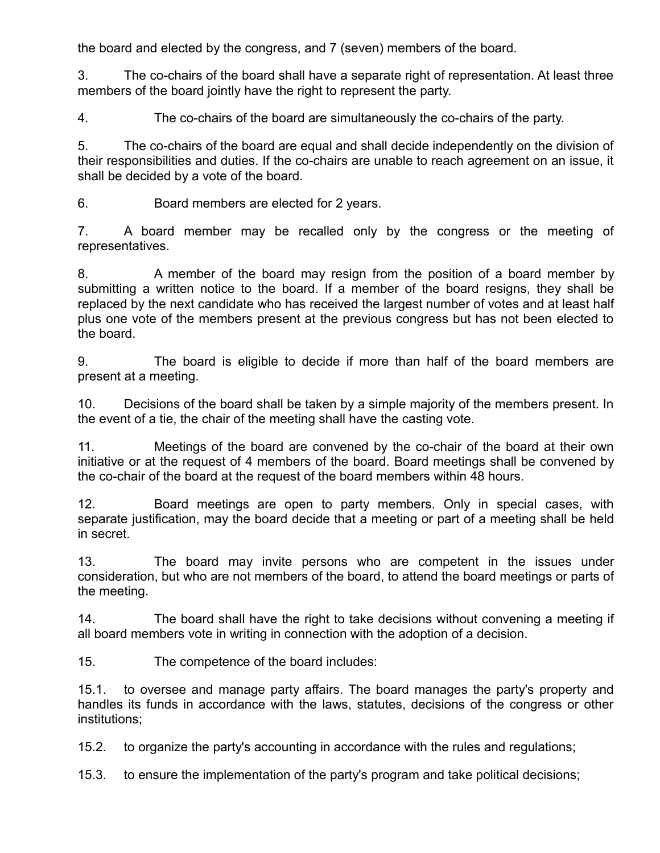the board and elected by the congress, and 7 (seven) members of the board.

3. The co-chairs of the board shall have a separate right of representation. At least three members of the board jointly have the right to represent the party.

4. The co-chairs of the board are simultaneously the co-chairs of the party.

5. The co-chairs of the board are equal and shall decide independently on the division of their responsibilities and duties. If the co-chairs are unable to reach agreement on an issue, it shall be decided by a vote of the board.

6. Board members are elected for 2 years.

7. A board member may be recalled only by the congress or the meeting of representatives.

8. A member of the board may resign from the position of a board member by submitting a written notice to the board. If a member of the board resigns, they shall be replaced by the next candidate who has received the largest number of votes and at least half plus one vote of the members present at the previous congress but has not been elected to the board.

9. The board is eligible to decide if more than half of the board members are present at a meeting.

10. Decisions of the board shall be taken by a simple majority of the members present. In the event of a tie, the chair of the meeting shall have the casting vote.

11. Meetings of the board are convened by the co-chair of the board at their own initiative or at the request of 4 members of the board. Board meetings shall be convened by the co-chair of the board at the request of the board members within 48 hours.

12. Board meetings are open to party members. Only in special cases, with separate justification, may the board decide that a meeting or part of a meeting shall be held in secret.

13. The board may invite persons who are competent in the issues under consideration, but who are not members of the board, to attend the board meetings or parts of the meeting.

14. The board shall have the right to take decisions without convening a meeting if all board members vote in writing in connection with the adoption of a decision.

15. The competence of the board includes:

15.1. to oversee and manage party affairs. The board manages the party's property and handles its funds in accordance with the laws, statutes, decisions of the congress or other institutions;

15.2. to organize the party's accounting in accordance with the rules and regulations;

15.3. to ensure the implementation of the party's program and take political decisions;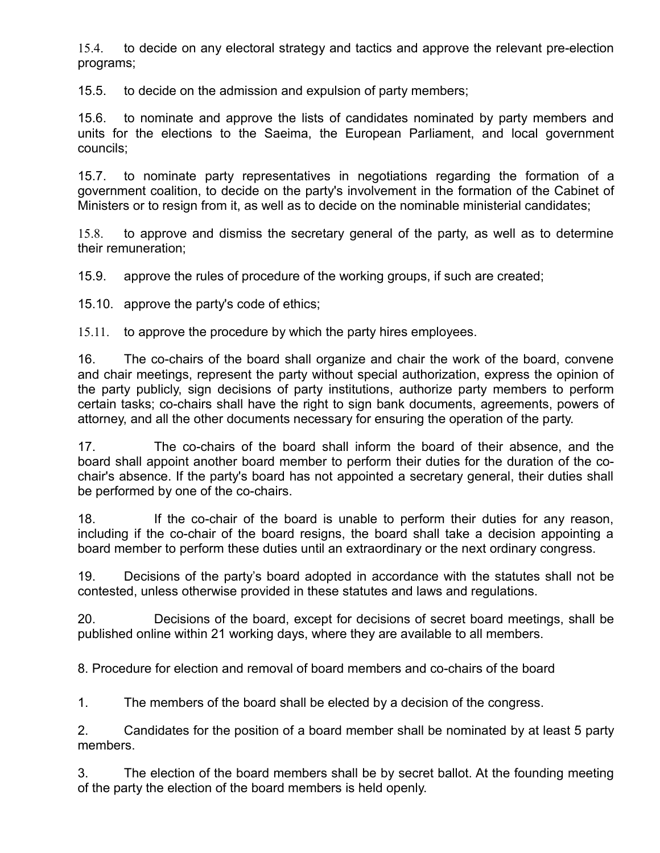15.4. to decide on any electoral strategy and tactics and approve the relevant pre-election programs;

15.5. to decide on the admission and expulsion of party members;

15.6. to nominate and approve the lists of candidates nominated by party members and units for the elections to the Saeima, the European Parliament, and local government councils;

15.7. to nominate party representatives in negotiations regarding the formation of a government coalition, to decide on the party's involvement in the formation of the Cabinet of Ministers or to resign from it, as well as to decide on the nominable ministerial candidates;

15.8. to approve and dismiss the secretary general of the party, as well as to determine their remuneration;

15.9. approve the rules of procedure of the working groups, if such are created;

15.10. approve the party's code of ethics;

15.11. to approve the procedure by which the party hires employees.

16. The co-chairs of the board shall organize and chair the work of the board, convene and chair meetings, represent the party without special authorization, express the opinion of the party publicly, sign decisions of party institutions, authorize party members to perform certain tasks; co-chairs shall have the right to sign bank documents, agreements, powers of attorney, and all the other documents necessary for ensuring the operation of the party.

17. The co-chairs of the board shall inform the board of their absence, and the board shall appoint another board member to perform their duties for the duration of the cochair's absence. If the party's board has not appointed a secretary general, their duties shall be performed by one of the co-chairs.

18. If the co-chair of the board is unable to perform their duties for any reason, including if the co-chair of the board resigns, the board shall take a decision appointing a board member to perform these duties until an extraordinary or the next ordinary congress.

19. Decisions of the party's board adopted in accordance with the statutes shall not be contested, unless otherwise provided in these statutes and laws and regulations.

20. Decisions of the board, except for decisions of secret board meetings, shall be published online within 21 working days, where they are available to all members.

8. Procedure for election and removal of board members and co-chairs of the board

1. The members of the board shall be elected by a decision of the congress.

2. Candidates for the position of a board member shall be nominated by at least 5 party members.

3. The election of the board members shall be by secret ballot. At the founding meeting of the party the election of the board members is held openly.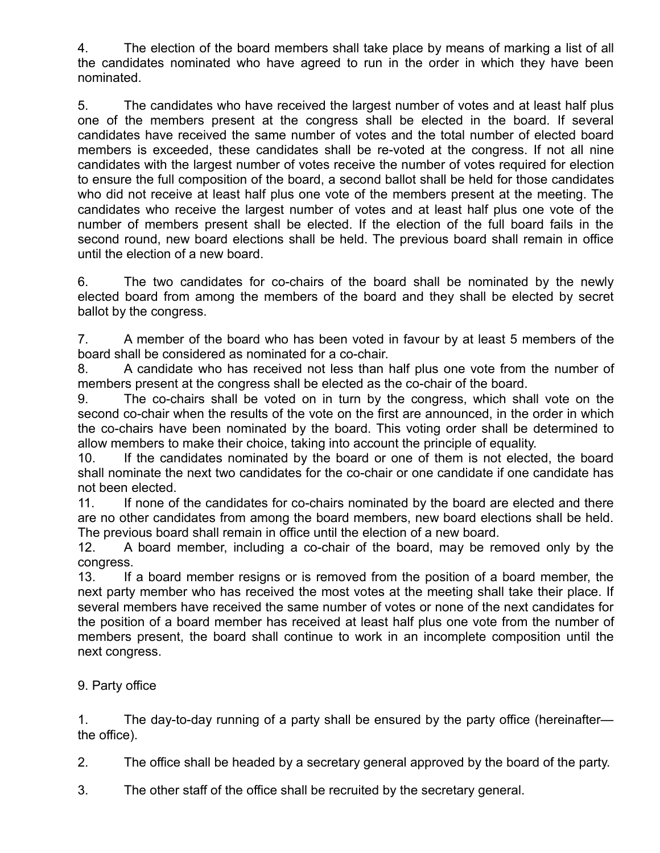4. The election of the board members shall take place by means of marking a list of all the candidates nominated who have agreed to run in the order in which they have been nominated.

5. The candidates who have received the largest number of votes and at least half plus one of the members present at the congress shall be elected in the board. If several candidates have received the same number of votes and the total number of elected board members is exceeded, these candidates shall be re-voted at the congress. If not all nine candidates with the largest number of votes receive the number of votes required for election to ensure the full composition of the board, a second ballot shall be held for those candidates who did not receive at least half plus one vote of the members present at the meeting. The candidates who receive the largest number of votes and at least half plus one vote of the number of members present shall be elected. If the election of the full board fails in the second round, new board elections shall be held. The previous board shall remain in office until the election of a new board.

6. The two candidates for co-chairs of the board shall be nominated by the newly elected board from among the members of the board and they shall be elected by secret ballot by the congress.

7. A member of the board who has been voted in favour by at least 5 members of the board shall be considered as nominated for a co-chair.

8. A candidate who has received not less than half plus one vote from the number of members present at the congress shall be elected as the co-chair of the board.

9. The co-chairs shall be voted on in turn by the congress, which shall vote on the second co-chair when the results of the vote on the first are announced, in the order in which the co-chairs have been nominated by the board. This voting order shall be determined to allow members to make their choice, taking into account the principle of equality.

10. If the candidates nominated by the board or one of them is not elected, the board shall nominate the next two candidates for the co-chair or one candidate if one candidate has not been elected.

11. If none of the candidates for co-chairs nominated by the board are elected and there are no other candidates from among the board members, new board elections shall be held. The previous board shall remain in office until the election of a new board.

12. A board member, including a co-chair of the board, may be removed only by the congress.

13. If a board member resigns or is removed from the position of a board member, the next party member who has received the most votes at the meeting shall take their place. If several members have received the same number of votes or none of the next candidates for the position of a board member has received at least half plus one vote from the number of members present, the board shall continue to work in an incomplete composition until the next congress.

9. Party office

1. The day-to-day running of a party shall be ensured by the party office (hereinafter the office).

2. The office shall be headed by a secretary general approved by the board of the party.

3. The other staff of the office shall be recruited by the secretary general.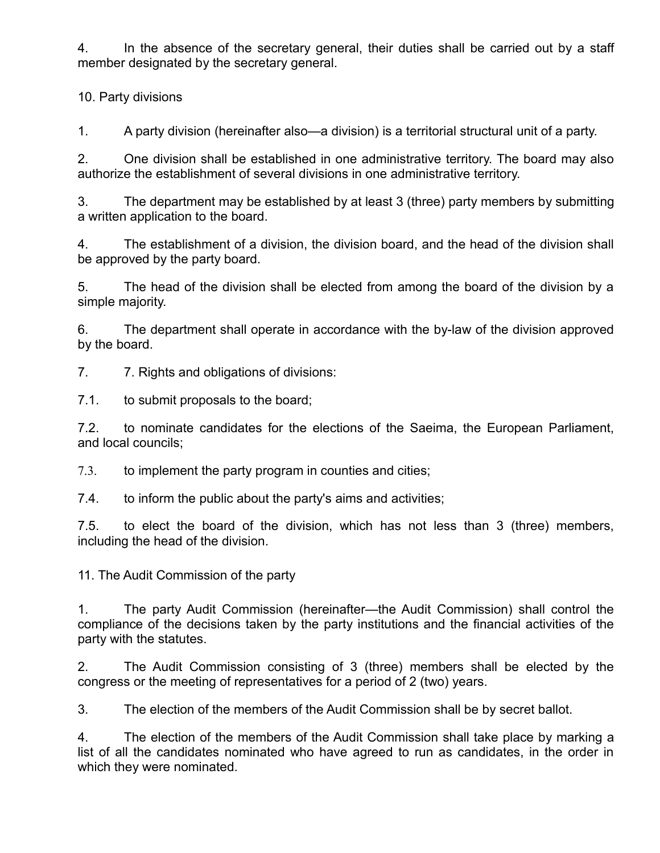4. In the absence of the secretary general, their duties shall be carried out by a staff member designated by the secretary general.

10. Party divisions

1. A party division (hereinafter also—a division) is a territorial structural unit of a party.

2. One division shall be established in one administrative territory. The board may also authorize the establishment of several divisions in one administrative territory.

3. The department may be established by at least 3 (three) party members by submitting a written application to the board.

4. The establishment of a division, the division board, and the head of the division shall be approved by the party board.

5. The head of the division shall be elected from among the board of the division by a simple majority.

6. The department shall operate in accordance with the by-law of the division approved by the board.

7. 7. Rights and obligations of divisions:

7.1. to submit proposals to the board;

7.2. to nominate candidates for the elections of the Saeima, the European Parliament, and local councils;

7.3. to implement the party program in counties and cities;

7.4. to inform the public about the party's aims and activities;

7.5. to elect the board of the division, which has not less than 3 (three) members, including the head of the division.

11. The Audit Commission of the party

1. The party Audit Commission (hereinafter—the Audit Commission) shall control the compliance of the decisions taken by the party institutions and the financial activities of the party with the statutes.

2. The Audit Commission consisting of 3 (three) members shall be elected by the congress or the meeting of representatives for a period of 2 (two) years.

3. The election of the members of the Audit Commission shall be by secret ballot.

4. The election of the members of the Audit Commission shall take place by marking a list of all the candidates nominated who have agreed to run as candidates, in the order in which they were nominated.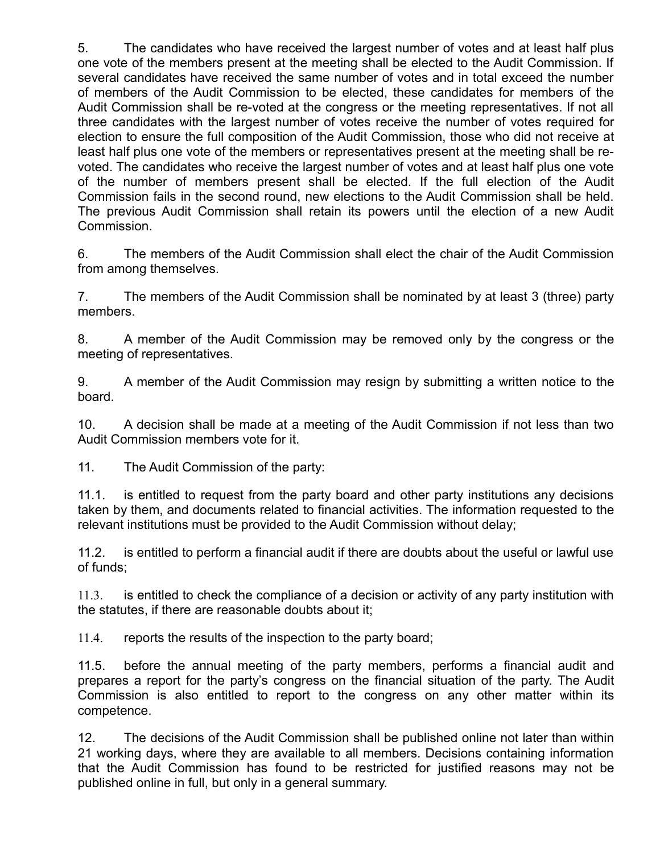5. The candidates who have received the largest number of votes and at least half plus one vote of the members present at the meeting shall be elected to the Audit Commission. If several candidates have received the same number of votes and in total exceed the number of members of the Audit Commission to be elected, these candidates for members of the Audit Commission shall be re-voted at the congress or the meeting representatives. If not all three candidates with the largest number of votes receive the number of votes required for election to ensure the full composition of the Audit Commission, those who did not receive at least half plus one vote of the members or representatives present at the meeting shall be revoted. The candidates who receive the largest number of votes and at least half plus one vote of the number of members present shall be elected. If the full election of the Audit Commission fails in the second round, new elections to the Audit Commission shall be held. The previous Audit Commission shall retain its powers until the election of a new Audit Commission.

6. The members of the Audit Commission shall elect the chair of the Audit Commission from among themselves.

7. The members of the Audit Commission shall be nominated by at least 3 (three) party members.

8. A member of the Audit Commission may be removed only by the congress or the meeting of representatives.

9. A member of the Audit Commission may resign by submitting a written notice to the board.

10. A decision shall be made at a meeting of the Audit Commission if not less than two Audit Commission members vote for it.

11. The Audit Commission of the party:

11.1. is entitled to request from the party board and other party institutions any decisions taken by them, and documents related to financial activities. The information requested to the relevant institutions must be provided to the Audit Commission without delay;

11.2. is entitled to perform a financial audit if there are doubts about the useful or lawful use of funds;

11.3. is entitled to check the compliance of a decision or activity of any party institution with the statutes, if there are reasonable doubts about it;

11.4. reports the results of the inspection to the party board;

11.5. before the annual meeting of the party members, performs a financial audit and prepares a report for the party's congress on the financial situation of the party. The Audit Commission is also entitled to report to the congress on any other matter within its competence.

12. The decisions of the Audit Commission shall be published online not later than within 21 working days, where they are available to all members. Decisions containing information that the Audit Commission has found to be restricted for justified reasons may not be published online in full, but only in a general summary.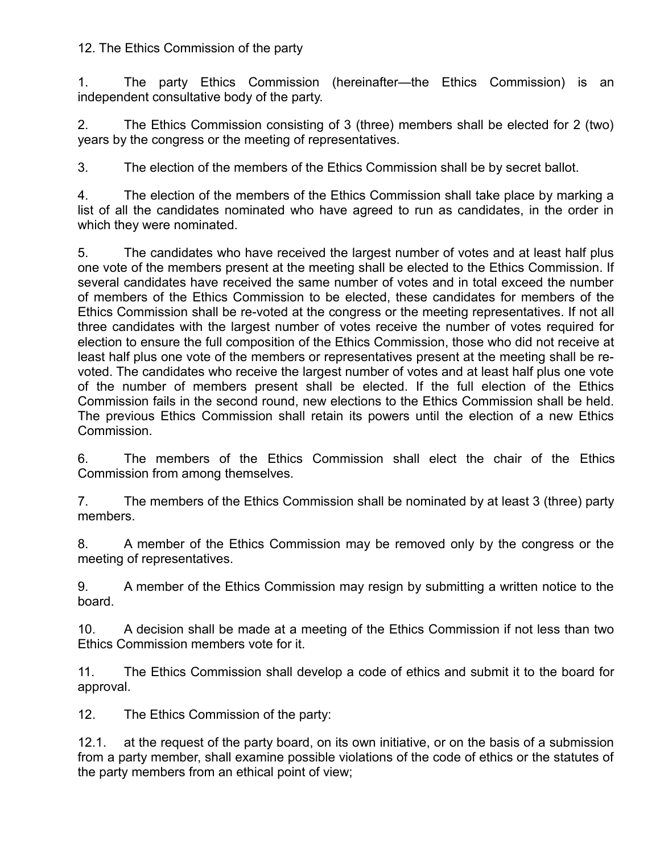12. The Ethics Commission of the party

1. The party Ethics Commission (hereinafter—the Ethics Commission) is an independent consultative body of the party.

2. The Ethics Commission consisting of 3 (three) members shall be elected for 2 (two) years by the congress or the meeting of representatives.

3. The election of the members of the Ethics Commission shall be by secret ballot.

4. The election of the members of the Ethics Commission shall take place by marking a list of all the candidates nominated who have agreed to run as candidates, in the order in which they were nominated.

5. The candidates who have received the largest number of votes and at least half plus one vote of the members present at the meeting shall be elected to the Ethics Commission. If several candidates have received the same number of votes and in total exceed the number of members of the Ethics Commission to be elected, these candidates for members of the Ethics Commission shall be re-voted at the congress or the meeting representatives. If not all three candidates with the largest number of votes receive the number of votes required for election to ensure the full composition of the Ethics Commission, those who did not receive at least half plus one vote of the members or representatives present at the meeting shall be revoted. The candidates who receive the largest number of votes and at least half plus one vote of the number of members present shall be elected. If the full election of the Ethics Commission fails in the second round, new elections to the Ethics Commission shall be held. The previous Ethics Commission shall retain its powers until the election of a new Ethics Commission.

6. The members of the Ethics Commission shall elect the chair of the Ethics Commission from among themselves.

7. The members of the Ethics Commission shall be nominated by at least 3 (three) party members.

8. A member of the Ethics Commission may be removed only by the congress or the meeting of representatives.

9. A member of the Ethics Commission may resign by submitting a written notice to the board.

10. A decision shall be made at a meeting of the Ethics Commission if not less than two Ethics Commission members vote for it.

11. The Ethics Commission shall develop a code of ethics and submit it to the board for approval.

12. The Ethics Commission of the party:

12.1. at the request of the party board, on its own initiative, or on the basis of a submission from a party member, shall examine possible violations of the code of ethics or the statutes of the party members from an ethical point of view;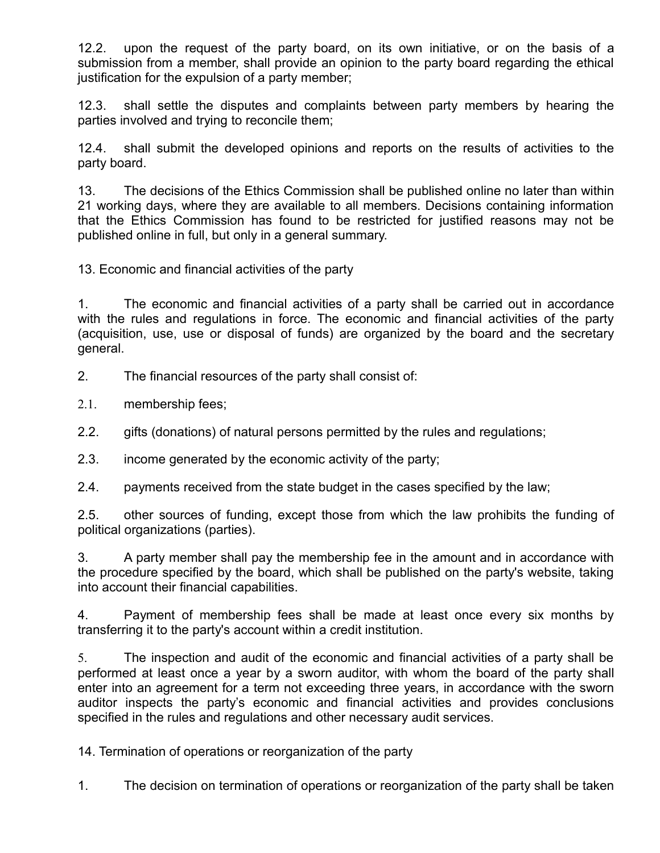12.2. upon the request of the party board, on its own initiative, or on the basis of a submission from a member, shall provide an opinion to the party board regarding the ethical justification for the expulsion of a party member;

12.3. shall settle the disputes and complaints between party members by hearing the parties involved and trying to reconcile them;

12.4. shall submit the developed opinions and reports on the results of activities to the party board.

13. The decisions of the Ethics Commission shall be published online no later than within 21 working days, where they are available to all members. Decisions containing information that the Ethics Commission has found to be restricted for justified reasons may not be published online in full, but only in a general summary.

13. Economic and financial activities of the party

1. The economic and financial activities of a party shall be carried out in accordance with the rules and regulations in force. The economic and financial activities of the party (acquisition, use, use or disposal of funds) are organized by the board and the secretary general.

2. The financial resources of the party shall consist of:

2.1. membership fees;

2.2. gifts (donations) of natural persons permitted by the rules and regulations;

2.3. income generated by the economic activity of the party;

2.4. payments received from the state budget in the cases specified by the law;

2.5. other sources of funding, except those from which the law prohibits the funding of political organizations (parties).

3. A party member shall pay the membership fee in the amount and in accordance with the procedure specified by the board, which shall be published on the party's website, taking into account their financial capabilities.

4. Payment of membership fees shall be made at least once every six months by transferring it to the party's account within a credit institution.

5. The inspection and audit of the economic and financial activities of a party shall be performed at least once a year by a sworn auditor, with whom the board of the party shall enter into an agreement for a term not exceeding three years, in accordance with the sworn auditor inspects the party's economic and financial activities and provides conclusions specified in the rules and regulations and other necessary audit services.

14. Termination of operations or reorganization of the party

1. The decision on termination of operations or reorganization of the party shall be taken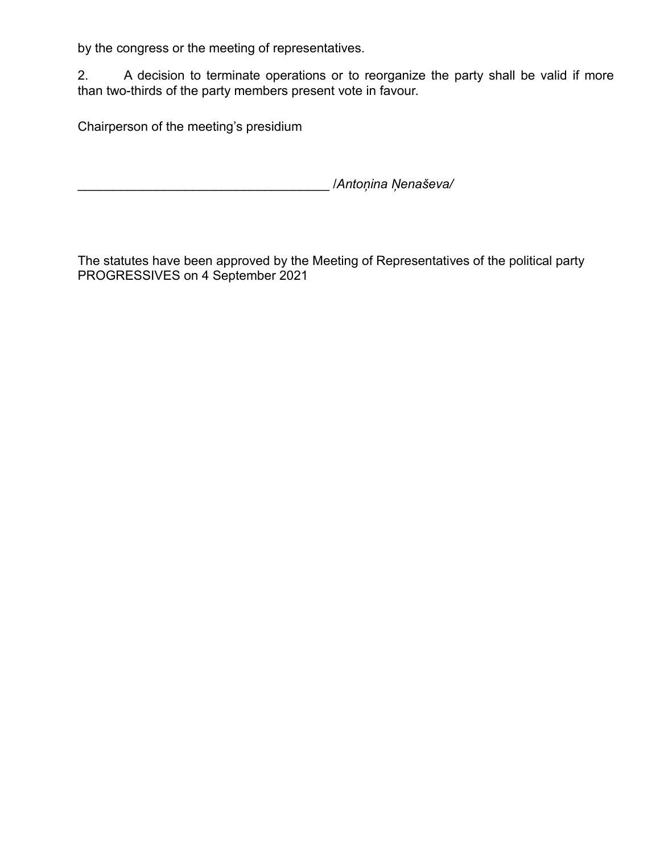by the congress or the meeting of representatives.

2. A decision to terminate operations or to reorganize the party shall be valid if more than two-thirds of the party members present vote in favour.

Chairperson of the meeting's presidium

\_\_\_\_\_\_\_\_\_\_\_\_\_\_\_\_\_\_\_\_\_\_\_\_\_\_\_\_\_\_\_\_\_\_\_ /*Antoņina Ņenaševa/*

The statutes have been approved by the Meeting of Representatives of the political party PROGRESSIVES on 4 September 2021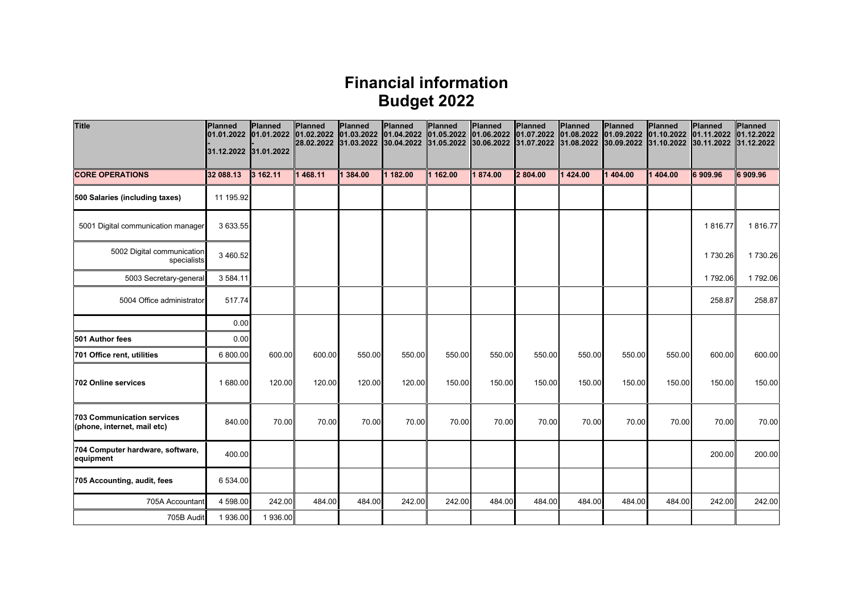# **Financial information Budget 2022**

| Title                                                     | Planned<br>01.01.2022 | Planned<br>01.01.2022 01.02.2022 01.03.2022 01.04.2022 01.05.2022 01.06.2022 | Planned    | Planned    | Planned                 | <b>Planned</b> | Planned    | Planned<br>01.07.2022 | <b>Planned</b><br>01.08.2022 | Planned<br>01.09.2022 01.10.2022 | Planned    | Planned<br>01.11.2022 | Planned<br>01.12.2022 |
|-----------------------------------------------------------|-----------------------|------------------------------------------------------------------------------|------------|------------|-------------------------|----------------|------------|-----------------------|------------------------------|----------------------------------|------------|-----------------------|-----------------------|
|                                                           | 31.12.2022 31.01.2022 |                                                                              | 28.02.2022 | 31.03.2022 | $30.04.2022$ 31.05.2022 |                | 30.06.2022 | 31.07.2022            | 31.08.2022                   | 30.09.2022                       | 31.10.2022 | 30.11.2022            | 31.12.2022            |
| <b>CORE OPERATIONS</b>                                    | 32 088.13             | 3 162.11                                                                     | 468.11     | 1 384.00   | 1 182.00                | 1 162.00       | 1 874.00   | 2 804.00              | 1424.00                      | 1404.00                          | 1 404.00   | 6909.96               | 6909.96               |
| 500 Salaries (including taxes)                            | 11 195.92             |                                                                              |            |            |                         |                |            |                       |                              |                                  |            |                       |                       |
| 5001 Digital communication manager                        | 3 633.55              |                                                                              |            |            |                         |                |            |                       |                              |                                  |            | 1816.77               | 1816.77               |
| 5002 Digital communication<br>specialists                 | 3 460.52              |                                                                              |            |            |                         |                |            |                       |                              |                                  |            | 1 730.26              | 1 730.26              |
| 5003 Secretary-general                                    | 3 584.11              |                                                                              |            |            |                         |                |            |                       |                              |                                  |            | 1792.06               | 1792.06               |
| 5004 Office administrator                                 | 517.74                |                                                                              |            |            |                         |                |            |                       |                              |                                  |            | 258.87                | 258.87                |
|                                                           | 0.00                  |                                                                              |            |            |                         |                |            |                       |                              |                                  |            |                       |                       |
| 501 Author fees                                           | 0.00                  |                                                                              |            |            |                         |                |            |                       |                              |                                  |            |                       |                       |
| 701 Office rent, utilities                                | 6 800.00              | 600.00                                                                       | 600.00     | 550.00     | 550.00                  | 550.00         | 550.00     | 550.00                | 550.00                       | 550.00                           | 550.00     | 600.00                | 600.00                |
| 702 Online services                                       | 1 680.00              | 120.00                                                                       | 120.00     | 120.00     | 120.00                  | 150.00         | 150.00     | 150.00                | 150.00                       | 150.00                           | 150.00     | 150.00                | 150.00                |
| 703 Communication services<br>(phone, internet, mail etc) | 840.00                | 70.00                                                                        | 70.00      | 70.00      | 70.00                   | 70.00          | 70.00      | 70.00                 | 70.00                        | 70.00                            | 70.00      | 70.00                 | 70.00                 |
| 704 Computer hardware, software,<br>equipment             | 400.00                |                                                                              |            |            |                         |                |            |                       |                              |                                  |            | 200.00                | 200.00                |
| 705 Accounting, audit, fees                               | 6 534.00              |                                                                              |            |            |                         |                |            |                       |                              |                                  |            |                       |                       |
| 705A Accountant                                           | 4 598.00              | 242.00                                                                       | 484.00     | 484.00     | 242.00                  | 242.00         | 484.00     | 484.00                | 484.00                       | 484.00                           | 484.00     | 242.00                | 242.00                |
| 705B Audit                                                | 1936.00               | 1936.00                                                                      |            |            |                         |                |            |                       |                              |                                  |            |                       |                       |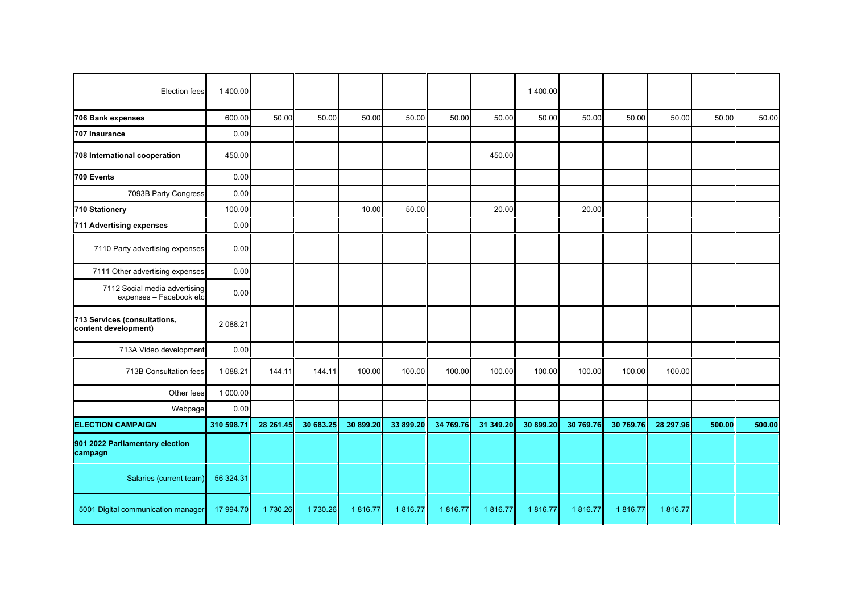| <b>Election fees</b>                                     | 1 400.00   |           |           |           |           |           |           | 1 400.00  |           |           |           |        |        |
|----------------------------------------------------------|------------|-----------|-----------|-----------|-----------|-----------|-----------|-----------|-----------|-----------|-----------|--------|--------|
| 706 Bank expenses                                        | 600.00     | 50.00     | 50.00     | 50.00     | 50.00     | 50.00     | 50.00     | 50.00     | 50.00     | 50.00     | 50.00     | 50.00  | 50.00  |
| 707 Insurance                                            | 0.00       |           |           |           |           |           |           |           |           |           |           |        |        |
| 708 International cooperation                            | 450.00     |           |           |           |           |           | 450.00    |           |           |           |           |        |        |
| 709 Events                                               | 0.00       |           |           |           |           |           |           |           |           |           |           |        |        |
| 7093B Party Congress                                     | 0.00       |           |           |           |           |           |           |           |           |           |           |        |        |
| 710 Stationery                                           | 100.00     |           |           | 10.00     | 50.00     |           | 20.00     |           | 20.00     |           |           |        |        |
| 711 Advertising expenses                                 | 0.00       |           |           |           |           |           |           |           |           |           |           |        |        |
| 7110 Party advertising expenses                          | 0.00       |           |           |           |           |           |           |           |           |           |           |        |        |
| 7111 Other advertising expenses                          | 0.00       |           |           |           |           |           |           |           |           |           |           |        |        |
| 7112 Social media advertising<br>expenses - Facebook etc | 0.00       |           |           |           |           |           |           |           |           |           |           |        |        |
| 713 Services (consultations,<br>content development)     | 2 088.21   |           |           |           |           |           |           |           |           |           |           |        |        |
| 713A Video development                                   | 0.00       |           |           |           |           |           |           |           |           |           |           |        |        |
| 713B Consultation fees                                   | 1 088.21   | 144.11    | 144.11    | 100.00    | 100.00    | 100.00    | 100.00    | 100.00    | 100.00    | 100.00    | 100.00    |        |        |
| Other fees                                               | 1 000.00   |           |           |           |           |           |           |           |           |           |           |        |        |
| Webpage                                                  | 0.00       |           |           |           |           |           |           |           |           |           |           |        |        |
| <b>ELECTION CAMPAIGN</b>                                 | 310 598.71 | 28 261.45 | 30 683.25 | 30 899.20 | 33 899.20 | 34 769.76 | 31 349.20 | 30 899.20 | 30 769.76 | 30 769.76 | 28 297.96 | 500.00 | 500.00 |
| 901 2022 Parliamentary election<br>campagn               |            |           |           |           |           |           |           |           |           |           |           |        |        |
| Salaries (current team)                                  | 56 324.31  |           |           |           |           |           |           |           |           |           |           |        |        |
| 5001 Digital communication manager                       | 17 994.70  | 1 730.26  | 1 730.26  | 1816.77   | 1816.77   | 1816.77   | 1816.77   | 1816.77   | 1816.77   | 1816.77   | 1 816.77  |        |        |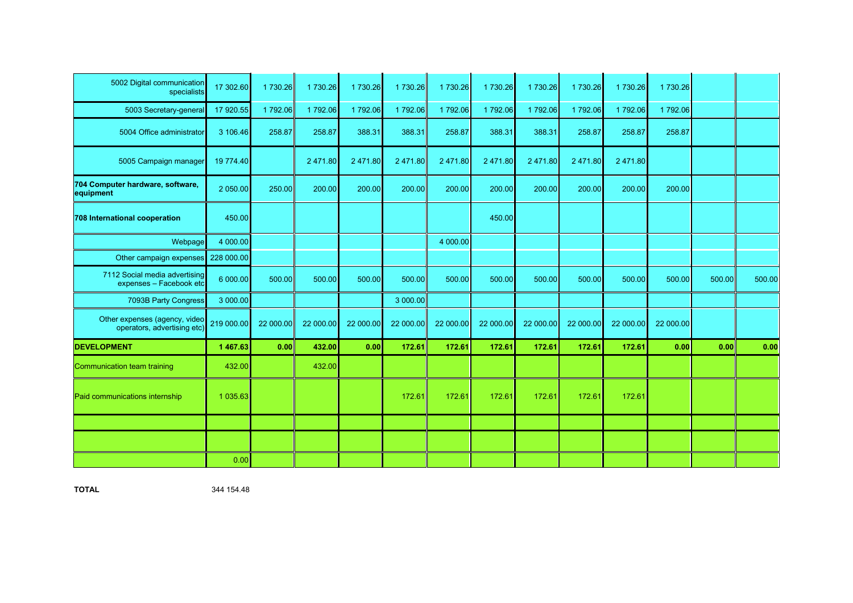| 5002 Digital communication<br>specialists                    | 17 302.60  | 1 730.26  | 1 730.26  | 1 730.26  | 1 730.26  | 1 730.26  | 1 730.26  | 1 730.26  | 1 730.26  | 1 730.26  | 1 730.26  |        |        |
|--------------------------------------------------------------|------------|-----------|-----------|-----------|-----------|-----------|-----------|-----------|-----------|-----------|-----------|--------|--------|
| 5003 Secretary-general                                       | 17 920.55  | 1792.06   | 1 792.06  | 1 792.06  | 1792.06   | 1 792.06  | 1792.06   | 1792.06   | 1792.06   | 1 792.06  | 1 792.06  |        |        |
| 5004 Office administrator                                    | 3 106.46   | 258.87    | 258.87    | 388.31    | 388.31    | 258.87    | 388.31    | 388.31    | 258.87    | 258.87    | 258.87    |        |        |
| 5005 Campaign manager                                        | 19 774.40  |           | 2 471.80  | 2 471.80  | 2 471.80  | 2 471.80  | 2 471.80  | 2 471.80  | 2 471.80  | 2 471.80  |           |        |        |
| 704 Computer hardware, software,<br>equipment                | 2 050.00   | 250.00    | 200.00    | 200.00    | 200.00    | 200.00    | 200.00    | 200.00    | 200.00    | 200.00    | 200.00    |        |        |
| 708 International cooperation                                | 450.00     |           |           |           |           |           | 450.00    |           |           |           |           |        |        |
| Webpage                                                      | 4 000.00   |           |           |           |           | 4 000.00  |           |           |           |           |           |        |        |
| Other campaign expenses                                      | 228 000.00 |           |           |           |           |           |           |           |           |           |           |        |        |
| 7112 Social media advertising<br>expenses - Facebook etc     | 6 000.00   | 500.00    | 500.00    | 500.00    | 500.00    | 500.00    | 500.00    | 500.00    | 500.00    | 500.00    | 500.00    | 500.00 | 500.00 |
| 7093B Party Congress                                         | 3 000.00   |           |           |           | 3 000.00  |           |           |           |           |           |           |        |        |
| Other expenses (agency, video<br>operators, advertising etc) | 219 000.00 | 22 000.00 | 22 000.00 | 22 000.00 | 22 000.00 | 22 000.00 | 22 000.00 | 22 000.00 | 22 000.00 | 22 000.00 | 22 000.00 |        |        |
| <b>DEVELOPMENT</b>                                           | 1 467.63   | 0.00      | 432.00    | 0.00      | 172.61    | 172.61    | 172.61    | 172.61    | 172.61    | 172.61    | 0.00      | 0.00   | 0.00   |
| Communication team training                                  | 432.00     |           | 432.00    |           |           |           |           |           |           |           |           |        |        |
| Paid communications internship                               | 1 035.63   |           |           |           | 172.61    | 172.61    | 172.61    | 172.61    | 172.61    | 172.61    |           |        |        |
|                                                              |            |           |           |           |           |           |           |           |           |           |           |        |        |
|                                                              |            |           |           |           |           |           |           |           |           |           |           |        |        |
|                                                              | 0.00       |           |           |           |           |           |           |           |           |           |           |        |        |

**TOTAL** 344 154.48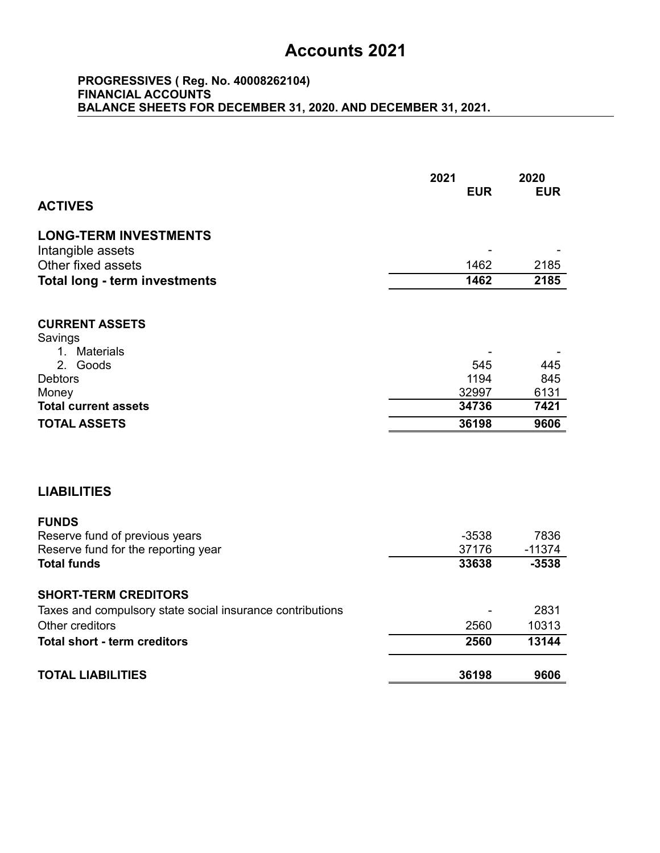# **Accounts 2021**

#### **PROGRESSIVES ( Reg. No. 40008262104) FINANCIAL ACCOUNTS BALANCE SHEETS FOR DECEMBER 31, 2020. AND DECEMBER 31, 2021.**

|                                                           | 2021           | 2020         |
|-----------------------------------------------------------|----------------|--------------|
| <b>ACTIVES</b>                                            | <b>EUR</b>     | <b>EUR</b>   |
|                                                           |                |              |
| <b>LONG-TERM INVESTMENTS</b>                              |                |              |
| Intangible assets                                         |                |              |
| Other fixed assets                                        | 1462           | 2185         |
| <b>Total long - term investments</b>                      | 1462           | 2185         |
| <b>CURRENT ASSETS</b>                                     |                |              |
| Savings                                                   |                |              |
| 1. Materials                                              |                |              |
| 2. Goods                                                  | 545            | 445          |
| <b>Debtors</b>                                            | 1194           | 845          |
| Money<br><b>Total current assets</b>                      | 32997<br>34736 | 6131<br>7421 |
|                                                           |                |              |
| <b>TOTAL ASSETS</b>                                       | 36198          | 9606         |
| <b>LIABILITIES</b>                                        |                |              |
| <b>FUNDS</b>                                              |                |              |
| Reserve fund of previous years                            | $-3538$        | 7836         |
| Reserve fund for the reporting year                       | 37176          | $-11374$     |
| <b>Total funds</b>                                        | 33638          | $-3538$      |
| <b>SHORT-TERM CREDITORS</b>                               |                |              |
| Taxes and compulsory state social insurance contributions |                | 2831         |
| Other creditors                                           | 2560           | 10313        |
| <b>Total short - term creditors</b>                       | 2560           | 13144        |
| <b>TOTAL LIABILITIES</b>                                  | 36198          | 9606         |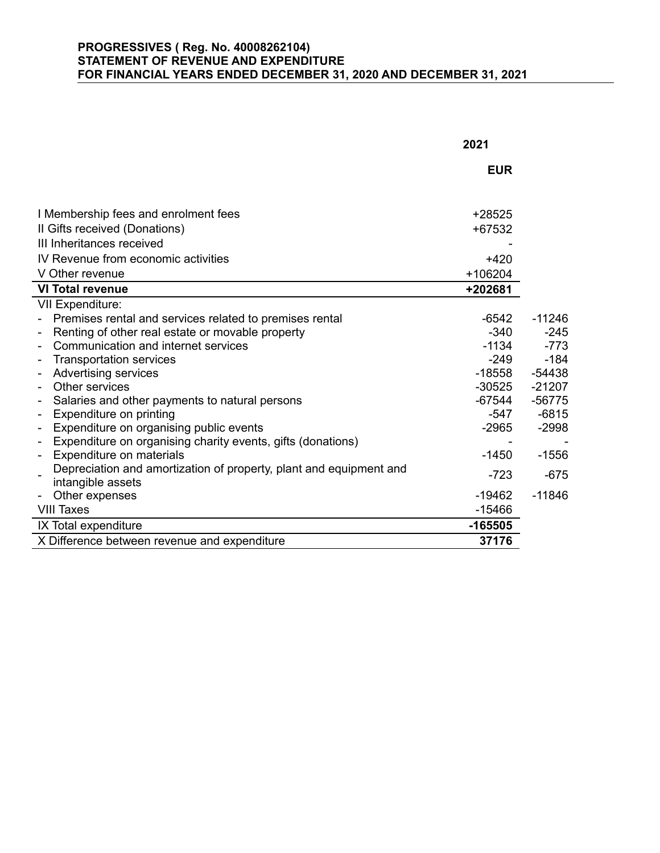#### **PROGRESSIVES ( Reg. No. 40008262104) STATEMENT OF REVENUE AND EXPENDITURE FOR FINANCIAL YEARS ENDED DECEMBER 31, 2020 AND DECEMBER 31, 2021**

|                                                                                         | 2021              |          |
|-----------------------------------------------------------------------------------------|-------------------|----------|
|                                                                                         | <b>EUR</b>        |          |
| I Membership fees and enrolment fees<br>II Gifts received (Donations)                   | +28525<br>+67532  |          |
| III Inheritances received                                                               |                   |          |
| IV Revenue from economic activities<br>V Other revenue                                  | $+420$<br>+106204 |          |
| <b>VI Total revenue</b>                                                                 | +202681           |          |
| <b>VII Expenditure:</b>                                                                 |                   |          |
| Premises rental and services related to premises rental                                 | $-6542$           | $-11246$ |
| Renting of other real estate or movable property                                        | -340              | $-245$   |
| Communication and internet services                                                     | $-1134$           | $-773$   |
| <b>Transportation services</b>                                                          | -249              | $-184$   |
| <b>Advertising services</b>                                                             | $-18558$          | $-54438$ |
| Other services                                                                          | -30525            | $-21207$ |
| Salaries and other payments to natural persons                                          | -67544            | -56775   |
| Expenditure on printing                                                                 | -547              | $-6815$  |
| Expenditure on organising public events                                                 | $-2965$           | $-2998$  |
| Expenditure on organising charity events, gifts (donations)                             |                   |          |
| Expenditure on materials                                                                | -1450             | $-1556$  |
| Depreciation and amortization of property, plant and equipment and<br>intangible assets | $-723$            | $-675$   |
| Other expenses                                                                          | $-19462$          | $-11846$ |
| <b>VIII Taxes</b>                                                                       | $-15466$          |          |
| IX Total expenditure                                                                    | $-165505$         |          |
| X Difference between revenue and expenditure                                            | 37176             |          |